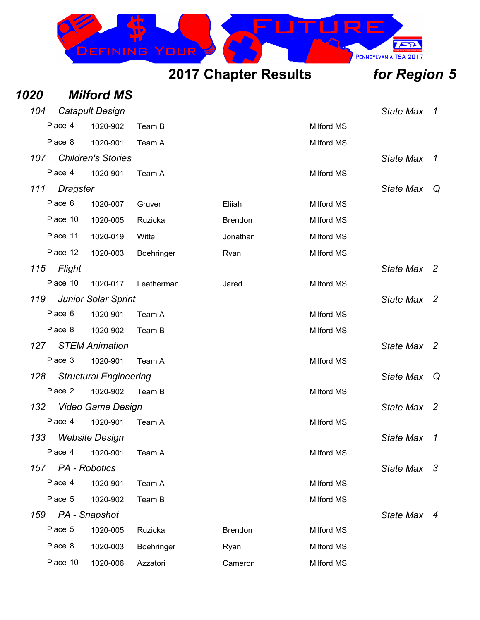

| 1020 |                   | <b>Milford MS</b>             |            |                |                   |                  |                            |
|------|-------------------|-------------------------------|------------|----------------|-------------------|------------------|----------------------------|
| 104  |                   | <b>Catapult Design</b>        |            |                |                   | <b>State Max</b> | $\overline{1}$             |
|      | Place 4           | 1020-902                      | Team B     |                | <b>Milford MS</b> |                  |                            |
|      | Place 8           | 1020-901                      | Team A     |                | <b>Milford MS</b> |                  |                            |
| 107  |                   | <b>Children's Stories</b>     |            |                |                   | <b>State Max</b> | $\boldsymbol{\mathcal{1}}$ |
|      | Place 4           | 1020-901                      | Team A     |                | <b>Milford MS</b> |                  |                            |
| 111  | <b>Dragster</b>   |                               |            |                |                   | <b>State Max</b> | Q                          |
|      | Place 6           | 1020-007                      | Gruver     | Elijah         | <b>Milford MS</b> |                  |                            |
|      | Place 10          | 1020-005                      | Ruzicka    | <b>Brendon</b> | Milford MS        |                  |                            |
|      | Place 11          | 1020-019                      | Witte      | Jonathan       | <b>Milford MS</b> |                  |                            |
|      | Place 12          | 1020-003                      | Boehringer | Ryan           | <b>Milford MS</b> |                  |                            |
| 115  | Flight            |                               |            |                |                   | <b>State Max</b> | $\overline{2}$             |
|      | Place 10          | 1020-017                      | Leatherman | Jared          | <b>Milford MS</b> |                  |                            |
| 119  |                   | <b>Junior Solar Sprint</b>    |            |                |                   | <b>State Max</b> | $\overline{2}$             |
|      | Place 6           | 1020-901                      | Team A     |                | <b>Milford MS</b> |                  |                            |
|      | Place 8           | 1020-902                      | Team B     |                | <b>Milford MS</b> |                  |                            |
| 127  |                   | <b>STEM Animation</b>         |            |                |                   | <b>State Max</b> | $\overline{2}$             |
|      | Place 3           | 1020-901                      | Team A     |                | Milford MS        |                  |                            |
| 128  |                   | <b>Structural Engineering</b> |            |                |                   | <b>State Max</b> | Q                          |
|      | Place 2           | 1020-902                      | Team B     |                | Milford MS        |                  |                            |
| 132  |                   | <b>Video Game Design</b>      |            |                |                   | <b>State Max</b> | $\overline{2}$             |
|      | Place 4           | 1020-901                      | Team A     |                | Milford MS        |                  |                            |
| 133  |                   | <b>Website Desian</b>         |            |                |                   | State Max        | $\mathcal I$               |
|      | Place 4           | 1020-901                      | Team A     |                | Milford MS        |                  |                            |
|      | 157 PA - Robotics |                               |            |                |                   | State Max 3      |                            |
|      | Place 4           | 1020-901                      | Team A     |                | <b>Milford MS</b> |                  |                            |
|      | Place 5           | 1020-902                      | Team B     |                | Milford MS        |                  |                            |
| 159  |                   | PA - Snapshot                 |            |                |                   | State Max 4      |                            |
|      | Place 5           | 1020-005                      | Ruzicka    | <b>Brendon</b> | <b>Milford MS</b> |                  |                            |
|      | Place 8           | 1020-003                      | Boehringer | Ryan           | Milford MS        |                  |                            |
|      | Place 10          | 1020-006                      | Azzatori   | Cameron        | Milford MS        |                  |                            |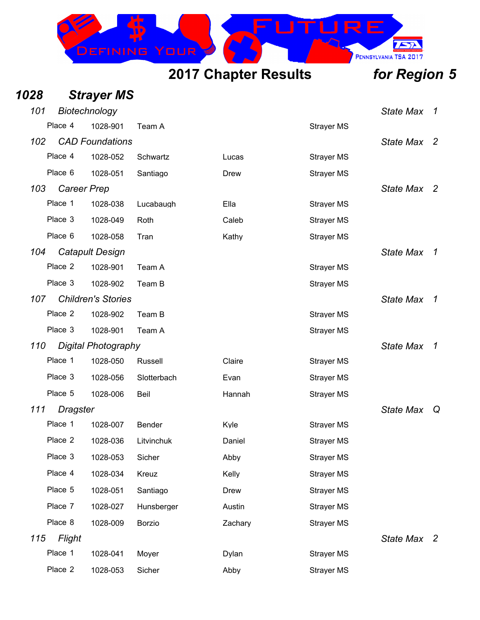

| 1028 |                    | <b>Strayer MS</b>          |               |             |                   |                  |                          |
|------|--------------------|----------------------------|---------------|-------------|-------------------|------------------|--------------------------|
| 101  |                    | Biotechnology              |               |             |                   | <b>State Max</b> | $\mathcal I$             |
|      | Place 4            | 1028-901                   | Team A        |             | <b>Strayer MS</b> |                  |                          |
| 102  |                    | <b>CAD Foundations</b>     |               |             |                   | <b>State Max</b> | - 2                      |
|      | Place 4            | 1028-052                   | Schwartz      | Lucas       | <b>Strayer MS</b> |                  |                          |
|      | Place 6            | 1028-051                   | Santiago      | <b>Drew</b> | <b>Strayer MS</b> |                  |                          |
| 103  | <b>Career Prep</b> |                            |               |             |                   | State Max 2      |                          |
|      | Place 1            | 1028-038                   | Lucabaugh     | Ella        | <b>Strayer MS</b> |                  |                          |
|      | Place 3            | 1028-049                   | Roth          | Caleb       | <b>Strayer MS</b> |                  |                          |
|      | Place 6            | 1028-058                   | Tran          | Kathy       | <b>Strayer MS</b> |                  |                          |
| 104  |                    | <b>Catapult Design</b>     |               |             |                   | <b>State Max</b> | $\mathcal I$             |
|      | Place 2            | 1028-901                   | Team A        |             | <b>Strayer MS</b> |                  |                          |
|      | Place 3            | 1028-902                   | Team B        |             | <b>Strayer MS</b> |                  |                          |
| 107  |                    | <b>Children's Stories</b>  |               |             |                   | <b>State Max</b> | $\mathcal I$             |
|      | Place 2            | 1028-902                   | Team B        |             | <b>Strayer MS</b> |                  |                          |
|      | Place 3            | 1028-901                   | Team A        |             | <b>Strayer MS</b> |                  |                          |
| 110  |                    | <b>Digital Photography</b> |               |             |                   | <b>State Max</b> | $\mathcal I$             |
|      | Place 1            | 1028-050                   | Russell       | Claire      | <b>Strayer MS</b> |                  |                          |
|      | Place 3            | 1028-056                   | Slotterbach   | Evan        | <b>Strayer MS</b> |                  |                          |
|      | Place 5            | 1028-006                   | Beil          | Hannah      | <b>Strayer MS</b> |                  |                          |
| 111  | <b>Dragster</b>    |                            |               |             |                   | <b>State Max</b> | Q                        |
|      | Place 1            | 1028-007                   | Bender        | Kyle        | <b>Strayer MS</b> |                  |                          |
|      | Place 2            | 1028-036                   | Litvinchuk    | Daniel      | <b>Strayer MS</b> |                  |                          |
|      | Place 3            | 1028-053                   | Sicher        | Abby        | <b>Strayer MS</b> |                  |                          |
|      | Place 4            | 1028-034                   | Kreuz         | Kelly       | <b>Strayer MS</b> |                  |                          |
|      | Place 5            | 1028-051                   | Santiago      | <b>Drew</b> | <b>Strayer MS</b> |                  |                          |
|      | Place 7            | 1028-027                   | Hunsberger    | Austin      | <b>Strayer MS</b> |                  |                          |
|      | Place 8            | 1028-009                   | <b>Borzio</b> | Zachary     | <b>Strayer MS</b> |                  |                          |
| 115  | Flight             |                            |               |             |                   | <b>State Max</b> | $\overline{\phantom{a}}$ |
|      | Place 1            | 1028-041                   | Moyer         | Dylan       | <b>Strayer MS</b> |                  |                          |
|      | Place 2            | 1028-053                   | Sicher        | Abby        | <b>Strayer MS</b> |                  |                          |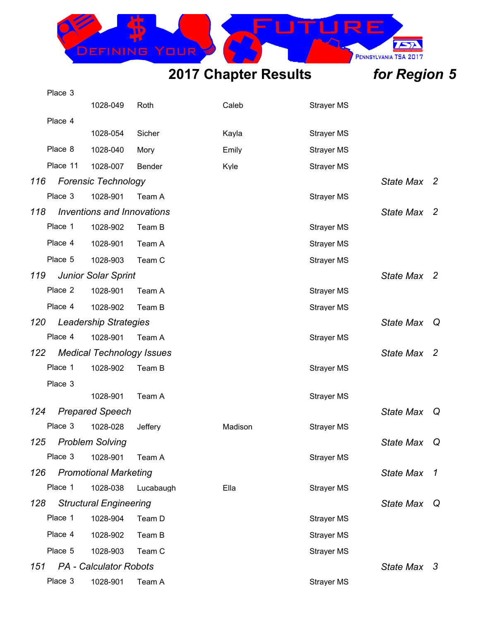

|     | Place 3  |                                   |           |         |                   |                  |                     |
|-----|----------|-----------------------------------|-----------|---------|-------------------|------------------|---------------------|
|     |          | 1028-049                          | Roth      | Caleb   | <b>Strayer MS</b> |                  |                     |
|     | Place 4  |                                   |           |         |                   |                  |                     |
|     |          | 1028-054                          | Sicher    | Kayla   | <b>Strayer MS</b> |                  |                     |
|     | Place 8  | 1028-040                          | Mory      | Emily   | <b>Strayer MS</b> |                  |                     |
|     | Place 11 | 1028-007                          | Bender    | Kyle    | <b>Strayer MS</b> |                  |                     |
| 116 |          | <b>Forensic Technology</b>        |           |         |                   | State Max 2      |                     |
|     | Place 3  | 1028-901                          | Team A    |         | <b>Strayer MS</b> |                  |                     |
| 118 |          | <b>Inventions and Innovations</b> |           |         |                   | <b>State Max</b> | -2                  |
|     | Place 1  | 1028-902                          | Team B    |         | <b>Strayer MS</b> |                  |                     |
|     | Place 4  | 1028-901                          | Team A    |         | <b>Strayer MS</b> |                  |                     |
|     | Place 5  | 1028-903                          | Team C    |         | <b>Strayer MS</b> |                  |                     |
| 119 |          | <b>Junior Solar Sprint</b>        |           |         |                   | State Max 2      |                     |
|     | Place 2  | 1028-901                          | Team A    |         | <b>Strayer MS</b> |                  |                     |
|     | Place 4  | 1028-902                          | Team B    |         | <b>Strayer MS</b> |                  |                     |
| 120 |          | <b>Leadership Strategies</b>      |           |         |                   | <b>State Max</b> | Q                   |
|     | Place 4  | 1028-901                          | Team A    |         | <b>Strayer MS</b> |                  |                     |
| 122 |          | <b>Medical Technology Issues</b>  |           |         |                   | State Max 2      |                     |
|     | Place 1  | 1028-902                          | Team B    |         | <b>Strayer MS</b> |                  |                     |
|     | Place 3  |                                   |           |         |                   |                  |                     |
|     |          | 1028-901                          | Team A    |         | <b>Strayer MS</b> |                  |                     |
| 124 |          | <b>Prepared Speech</b>            |           |         |                   | <b>State Max</b> | Q                   |
|     | Place 3  | 1028-028                          | Jeffery   | Madison | <b>Strayer MS</b> |                  |                     |
| 125 |          | <b>Problem Solving</b>            |           |         |                   | <b>State Max</b> | Q                   |
|     | Place 3  | 1028-901                          | Team A    |         | <b>Strayer MS</b> |                  |                     |
| 126 |          | <b>Promotional Marketing</b>      |           |         |                   | <b>State Max</b> | $\boldsymbol{\tau}$ |
|     | Place 1  | 1028-038                          | Lucabaugh | Ella    | <b>Strayer MS</b> |                  |                     |
| 128 |          | <b>Structural Engineering</b>     |           |         |                   | <b>State Max</b> | Q                   |
|     | Place 1  | 1028-904                          | Team D    |         | <b>Strayer MS</b> |                  |                     |
|     | Place 4  | 1028-902                          | Team B    |         | <b>Strayer MS</b> |                  |                     |
|     | Place 5  | 1028-903                          | Team C    |         | <b>Strayer MS</b> |                  |                     |
| 151 |          | <b>PA</b> - Calculator Robots     |           |         |                   | State Max 3      |                     |
|     | Place 3  | 1028-901                          | Team A    |         | <b>Strayer MS</b> |                  |                     |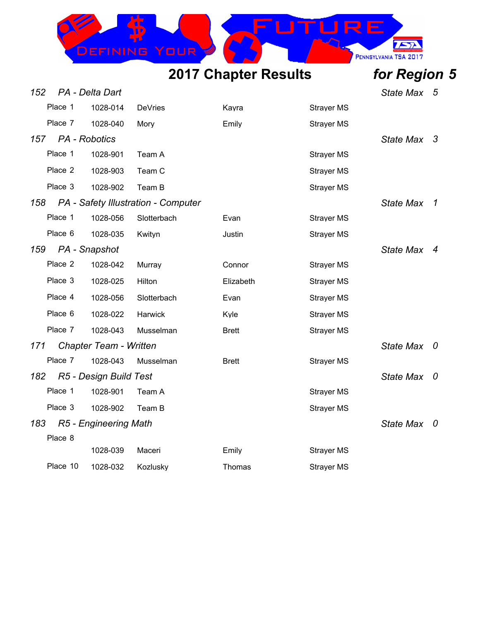

| 152 |               | PA - Delta Dart               |                                     |              |                   | <b>State Max</b> | - 5                     |
|-----|---------------|-------------------------------|-------------------------------------|--------------|-------------------|------------------|-------------------------|
|     | Place 1       | 1028-014                      | <b>DeVries</b>                      | Kayra        | <b>Strayer MS</b> |                  |                         |
|     | Place 7       | 1028-040                      | Mory                                | Emily        | <b>Strayer MS</b> |                  |                         |
| 157 | PA - Robotics |                               |                                     |              |                   | State Max 3      |                         |
|     | Place 1       | 1028-901                      | Team A                              |              | <b>Strayer MS</b> |                  |                         |
|     | Place 2       | 1028-903                      | Team C                              |              | <b>Strayer MS</b> |                  |                         |
|     | Place 3       | 1028-902                      | Team B                              |              | <b>Strayer MS</b> |                  |                         |
| 158 |               |                               | PA - Safety Illustration - Computer |              |                   | <b>State Max</b> | $\overline{1}$          |
|     | Place 1       | 1028-056                      | Slotterbach                         | Evan         | <b>Strayer MS</b> |                  |                         |
|     | Place 6       | 1028-035                      | Kwityn                              | Justin       | <b>Strayer MS</b> |                  |                         |
| 159 |               | PA - Snapshot                 |                                     |              |                   | <b>State Max</b> | $\overline{4}$          |
|     | Place 2       | 1028-042                      | Murray                              | Connor       | <b>Strayer MS</b> |                  |                         |
|     | Place 3       | 1028-025                      | Hilton                              | Elizabeth    | <b>Strayer MS</b> |                  |                         |
|     | Place 4       | 1028-056                      | Slotterbach                         | Evan         | <b>Strayer MS</b> |                  |                         |
|     | Place 6       | 1028-022                      | Harwick                             | Kyle         | <b>Strayer MS</b> |                  |                         |
|     | Place 7       | 1028-043                      | Musselman                           | <b>Brett</b> | <b>Strayer MS</b> |                  |                         |
| 171 |               | <b>Chapter Team - Written</b> |                                     |              |                   | <b>State Max</b> | $\overline{\mathbf{0}}$ |
|     | Place 7       | 1028-043                      | Musselman                           | <b>Brett</b> | <b>Strayer MS</b> |                  |                         |
| 182 |               | R5 - Design Build Test        |                                     |              |                   | State Max 0      |                         |
|     | Place 1       | 1028-901                      | Team A                              |              | <b>Strayer MS</b> |                  |                         |
|     | Place 3       | 1028-902                      | Team B                              |              | <b>Strayer MS</b> |                  |                         |
| 183 |               | R5 - Engineering Math         |                                     |              |                   | State Max 0      |                         |
|     | Place 8       |                               |                                     |              |                   |                  |                         |
|     |               | 1028-039                      | Maceri                              | Emily        | <b>Strayer MS</b> |                  |                         |
|     | Place 10      | 1028-032                      | Kozlusky                            | Thomas       | <b>Strayer MS</b> |                  |                         |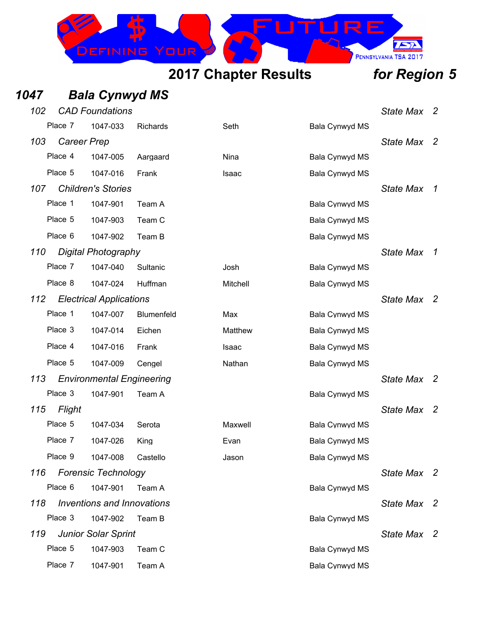

## *1047 Bala Cynwyd MS*

| 102 |                    | <b>CAD Foundations</b>           |            |          |                | <b>State Max</b> | $\overline{2}$           |
|-----|--------------------|----------------------------------|------------|----------|----------------|------------------|--------------------------|
|     | Place 7            | 1047-033                         | Richards   | Seth     | Bala Cynwyd MS |                  |                          |
| 103 | <b>Career Prep</b> |                                  |            |          |                | <b>State Max</b> | $\overline{2}$           |
|     | Place 4            | 1047-005                         | Aargaard   | Nina     | Bala Cynwyd MS |                  |                          |
|     | Place 5            | 1047-016                         | Frank      | Isaac    | Bala Cynwyd MS |                  |                          |
| 107 |                    | <b>Children's Stories</b>        |            |          |                | <b>State Max</b> | $\overline{1}$           |
|     | Place 1            | 1047-901                         | Team A     |          | Bala Cynwyd MS |                  |                          |
|     | Place 5            | 1047-903                         | Team C     |          | Bala Cynwyd MS |                  |                          |
|     | Place 6            | 1047-902                         | Team B     |          | Bala Cynwyd MS |                  |                          |
| 110 |                    | Digital Photography              |            |          |                | <b>State Max</b> | $\overline{1}$           |
|     | Place 7            | 1047-040                         | Sultanic   | Josh     | Bala Cynwyd MS |                  |                          |
|     | Place 8            | 1047-024                         | Huffman    | Mitchell | Bala Cynwyd MS |                  |                          |
| 112 |                    | <b>Electrical Applications</b>   |            |          |                | <b>State Max</b> | $\overline{\phantom{a}}$ |
|     | Place 1            | 1047-007                         | Blumenfeld | Max      | Bala Cynwyd MS |                  |                          |
|     | Place 3            | 1047-014                         | Eichen     | Matthew  | Bala Cynwyd MS |                  |                          |
|     | Place 4            | 1047-016                         | Frank      | Isaac    | Bala Cynwyd MS |                  |                          |
|     | Place 5            | 1047-009                         | Cengel     | Nathan   | Bala Cynwyd MS |                  |                          |
| 113 |                    | <b>Environmental Engineering</b> |            |          |                | <b>State Max</b> | $\overline{2}$           |
|     | Place 3            | 1047-901                         | Team A     |          | Bala Cynwyd MS |                  |                          |
| 115 | Flight             |                                  |            |          |                | <b>State Max</b> | $\overline{\phantom{a}}$ |
|     | Place 5            | 1047-034                         | Serota     | Maxwell  | Bala Cynwyd MS |                  |                          |
|     | Place 7            | 1047-026                         | King       | Evan     | Bala Cynwyd MS |                  |                          |
|     | Place 9            | 1047-008                         | Castello   | Jason    | Bala Cynwyd MS |                  |                          |
| 116 |                    | <b>Forensic Technology</b>       |            |          |                | State Max 2      |                          |
|     | Place 6            | 1047-901                         | Team A     |          | Bala Cynwyd MS |                  |                          |
| 118 |                    | Inventions and Innovations       |            |          |                | State Max 2      |                          |
|     | Place 3            | 1047-902                         | Team B     |          | Bala Cynwyd MS |                  |                          |
| 119 |                    | <b>Junior Solar Sprint</b>       |            |          |                | <b>State Max</b> | $\overline{2}$           |
|     | Place 5            | 1047-903                         | Team C     |          | Bala Cynwyd MS |                  |                          |
|     | Place 7            | 1047-901                         | Team A     |          | Bala Cynwyd MS |                  |                          |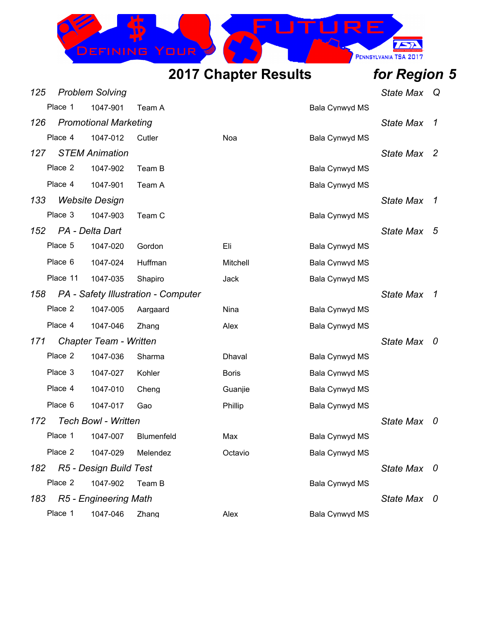

| 125 |          | <b>Problem Solving</b>        |                                     |              |                | <b>State Max</b> | Q   |
|-----|----------|-------------------------------|-------------------------------------|--------------|----------------|------------------|-----|
|     | Place 1  | 1047-901                      | Team A                              |              | Bala Cynwyd MS |                  |     |
| 126 |          | <b>Promotional Marketing</b>  |                                     |              |                | <b>State Max</b> | 1   |
|     | Place 4  | 1047-012                      | Cutler                              | Noa          | Bala Cynwyd MS |                  |     |
| 127 |          | <b>STEM Animation</b>         |                                     |              |                | <b>State Max</b> | -2  |
|     | Place 2  | 1047-902                      | Team B                              |              | Bala Cynwyd MS |                  |     |
|     | Place 4  | 1047-901                      | Team A                              |              | Bala Cynwyd MS |                  |     |
| 133 |          | <b>Website Design</b>         |                                     |              |                | <b>State Max</b> | 1   |
|     | Place 3  | 1047-903                      | Team C                              |              | Bala Cynwyd MS |                  |     |
| 152 |          | PA - Delta Dart               |                                     |              |                | <b>State Max</b> | - 5 |
|     | Place 5  | 1047-020                      | Gordon                              | Eli          | Bala Cynwyd MS |                  |     |
|     | Place 6  | 1047-024                      | Huffman                             | Mitchell     | Bala Cynwyd MS |                  |     |
|     | Place 11 | 1047-035                      | Shapiro                             | Jack         | Bala Cynwyd MS |                  |     |
| 158 |          |                               | PA - Safety Illustration - Computer |              |                | <b>State Max</b> | 1   |
|     | Place 2  | 1047-005                      | Aargaard                            | Nina         | Bala Cynwyd MS |                  |     |
|     | Place 4  | 1047-046                      | Zhang                               | Alex         | Bala Cynwyd MS |                  |     |
| 171 |          | <b>Chapter Team - Written</b> |                                     |              |                | <b>State Max</b> | 0   |
|     | Place 2  | 1047-036                      | Sharma                              | Dhaval       | Bala Cynwyd MS |                  |     |
|     | Place 3  | 1047-027                      | Kohler                              | <b>Boris</b> | Bala Cynwyd MS |                  |     |
|     | Place 4  | 1047-010                      | Cheng                               | Guanjie      | Bala Cynwyd MS |                  |     |
|     | Place 6  | 1047-017                      | Gao                                 | Phillip      | Bala Cynwyd MS |                  |     |
| 172 |          | <b>Tech Bowl - Written</b>    |                                     |              |                | <b>State Max</b> | U   |
|     | Place 1  | 1047-007                      | Blumenfeld                          | Max          | Bala Cynwyd MS |                  |     |
|     | Place 2  | 1047-029                      | Melendez                            | Octavio      | Bala Cynwyd MS |                  |     |
| 182 |          | R5 - Design Build Test        |                                     |              |                | State Max 0      |     |
|     | Place 2  | 1047-902                      | Team B                              |              | Bala Cynwyd MS |                  |     |
| 183 |          | R5 - Engineering Math         |                                     |              |                | State Max 0      |     |
|     | Place 1  | 1047-046                      | Zhang                               | Alex         | Bala Cynwyd MS |                  |     |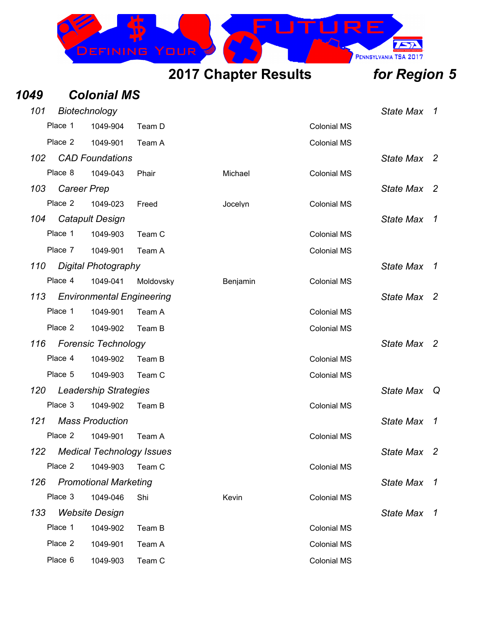

| 1049 |         | <b>Colonial MS</b>               |           |          |                    |                  |                     |
|------|---------|----------------------------------|-----------|----------|--------------------|------------------|---------------------|
| 101  |         | Biotechnology                    |           |          |                    | <b>State Max</b> | $\overline{1}$      |
|      | Place 1 | 1049-904                         | Team D    |          | <b>Colonial MS</b> |                  |                     |
|      | Place 2 | 1049-901                         | Team A    |          | <b>Colonial MS</b> |                  |                     |
| 102  |         | <b>CAD Foundations</b>           |           |          |                    | <b>State Max</b> | $\overline{2}$      |
|      | Place 8 | 1049-043                         | Phair     | Michael  | <b>Colonial MS</b> |                  |                     |
| 103  |         | <b>Career Prep</b>               |           |          |                    | <b>State Max</b> | -2                  |
|      | Place 2 | 1049-023                         | Freed     | Jocelyn  | <b>Colonial MS</b> |                  |                     |
| 104  |         | <b>Catapult Design</b>           |           |          |                    | <b>State Max</b> | $\mathcal I$        |
|      | Place 1 | 1049-903                         | Team C    |          | <b>Colonial MS</b> |                  |                     |
|      | Place 7 | 1049-901                         | Team A    |          | <b>Colonial MS</b> |                  |                     |
| 110  |         | Digital Photography              |           |          |                    | <b>State Max</b> | $\mathcal{I}$       |
|      | Place 4 | 1049-041                         | Moldovsky | Benjamin | <b>Colonial MS</b> |                  |                     |
| 113  |         | <b>Environmental Engineering</b> |           |          |                    | <b>State Max</b> | -2                  |
|      | Place 1 | 1049-901                         | Team A    |          | <b>Colonial MS</b> |                  |                     |
|      | Place 2 | 1049-902                         | Team B    |          | <b>Colonial MS</b> |                  |                     |
| 116  |         | <b>Forensic Technology</b>       |           |          |                    | <b>State Max</b> | $\overline{2}$      |
|      | Place 4 | 1049-902                         | Team B    |          | <b>Colonial MS</b> |                  |                     |
|      | Place 5 | 1049-903                         | Team C    |          | <b>Colonial MS</b> |                  |                     |
| 120  |         | <b>Leadership Strategies</b>     |           |          |                    | <b>State Max</b> | Q                   |
|      | Place 3 | 1049-902                         | Team B    |          | <b>Colonial MS</b> |                  |                     |
| 121  |         | <b>Mass Production</b>           |           |          |                    | <b>State Max</b> | 1                   |
|      | Place 2 | 1049-901                         | Team A    |          | <b>Colonial MS</b> |                  |                     |
| 122  |         | <b>Medical Technology Issues</b> |           |          |                    | <b>State Max</b> | - 2                 |
|      | Place 2 | 1049-903                         | Team C    |          | <b>Colonial MS</b> |                  |                     |
| 126  |         | <b>Promotional Marketing</b>     |           |          |                    | <b>State Max</b> | $\boldsymbol{\tau}$ |
|      | Place 3 | 1049-046                         | Shi       | Kevin    | <b>Colonial MS</b> |                  |                     |
| 133  |         | <b>Website Design</b>            |           |          |                    | <b>State Max</b> | 1                   |
|      | Place 1 | 1049-902                         | Team B    |          | <b>Colonial MS</b> |                  |                     |
|      | Place 2 | 1049-901                         | Team A    |          | <b>Colonial MS</b> |                  |                     |
|      | Place 6 | 1049-903                         | Team C    |          | <b>Colonial MS</b> |                  |                     |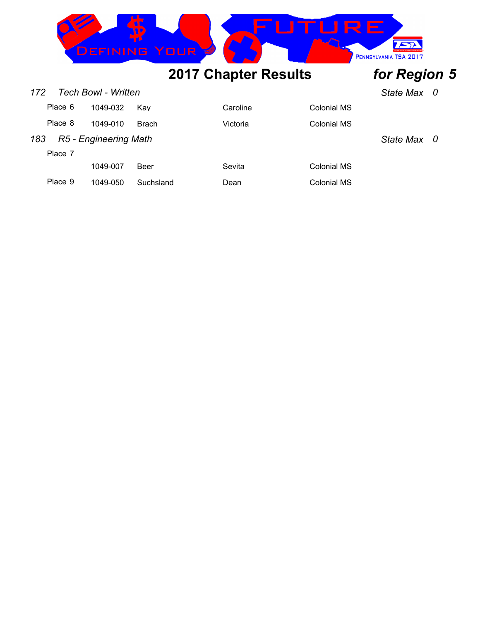

| 172 | Tech Bowl - Written<br><b>State Max</b>   |          |              |          |             |  |  |  |
|-----|-------------------------------------------|----------|--------------|----------|-------------|--|--|--|
|     | Place 6                                   | 1049-032 | Kav          | Caroline | Colonial MS |  |  |  |
|     | Place 8                                   | 1049-010 | <b>Brach</b> | Victoria | Colonial MS |  |  |  |
| 183 | R5 - Engineering Math<br><b>State Max</b> |          |              |          |             |  |  |  |
|     | Place 7                                   |          |              |          |             |  |  |  |
|     |                                           | 1049-007 | Beer         | Sevita   | Colonial MS |  |  |  |
|     | Place 9                                   | 1049-050 | Suchsland    | Dean     | Colonial MS |  |  |  |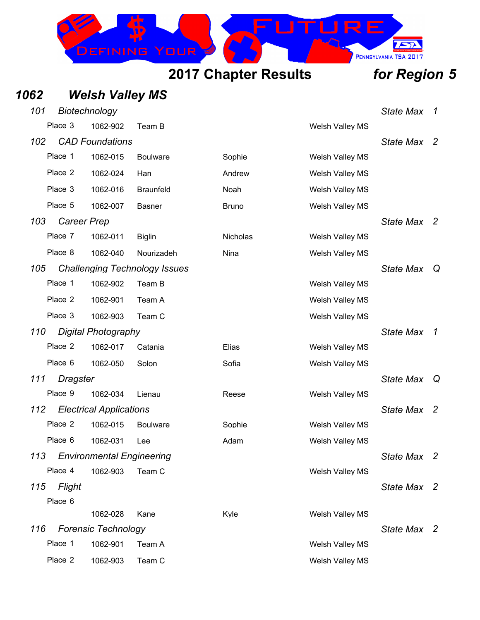INING

PENNSYLVANIA TSA 2017

### *1062 Welsh Valley MS 101 Biotechnology State Max 1* Place 3 1062-902 Team B Welsh Valley MS *102 CAD Foundations State Max 2* Place 1 1062-015 Boulware Sophie Welsh Valley MS Place 2 1062-024 Han Andrew Welsh Valley MS Place 3 1062-016 Braunfeld Noah Noah Welsh Valley MS Place 5 1062-007 Basner Bruno Bruno Welsh Valley MS *103 Career Prep State Max 2* Place 7 1062-011 Biglin Nicholas Nicholas Welsh Valley MS Place 8 1062-040 Nourizadeh Nina Nina Welsh Valley MS *105 Challenging Technology Issues State Max Q* Place 1 1062-902 Team B Welsh Valley MS Place 2 1062-901 Team A Welsh Valley MS Place 3 1062-903 Team C Network and Metal Welsh Valley MS *110 Digital Photography State Max 1* Place 2 1062-017 Catania Elias Elias Welsh Valley MS Place 6 1062-050 Solon Sofia Welsh Valley MS *111 Dragster State Max Q* Place 9 1062-034 Lienau Reese Welsh Valley MS *112 Electrical Applications State Max 2* Place 2 1062-015 Boulware Sophie Welsh Valley MS Place 6 1062-031 Lee Adam Welsh Valley MS *113 Environmental Engineering State Max 2* Place 4 1062-903 Team C Network and Metal Welsh Valley MS *115 Flight State Max 2* Place 6 1062-028 Kane Kyle Welsh Valley MS *116 Forensic Technology State Max 2* Place 1 1062-901 Team A Welsh Valley MS Place 2 1062-903 Team C Welsh Valley MS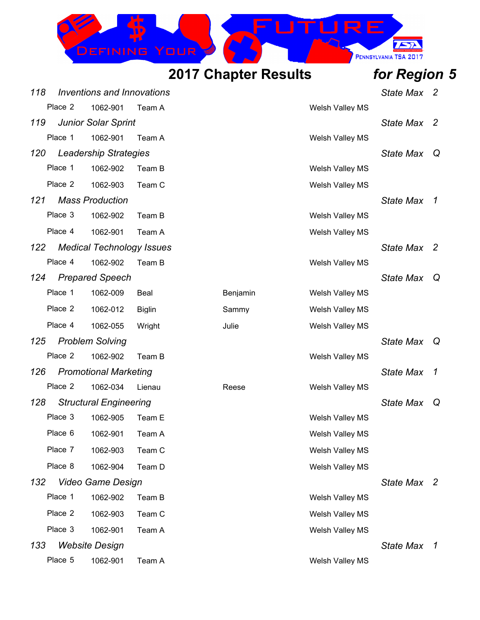

| 118 |         | Inventions and Innovations       |               |          |                        | <b>State Max</b> | $\mathbf{2}$   |
|-----|---------|----------------------------------|---------------|----------|------------------------|------------------|----------------|
|     | Place 2 | 1062-901                         | Team A        |          | Welsh Valley MS        |                  |                |
| 119 |         | <b>Junior Solar Sprint</b>       |               |          |                        | <b>State Max</b> | - 2            |
|     | Place 1 | 1062-901                         | Team A        |          | Welsh Valley MS        |                  |                |
|     |         | 120 Leadership Strategies        |               |          |                        | <b>State Max</b> | Q              |
|     | Place 1 | 1062-902                         | Team B        |          | Welsh Valley MS        |                  |                |
|     | Place 2 | 1062-903                         | Team C        |          | Welsh Valley MS        |                  |                |
| 121 |         | <b>Mass Production</b>           |               |          |                        | State Max 1      |                |
|     | Place 3 | 1062-902                         | Team B        |          | Welsh Valley MS        |                  |                |
|     | Place 4 | 1062-901                         | Team A        |          | Welsh Valley MS        |                  |                |
| 122 |         | <b>Medical Technology Issues</b> |               |          |                        | State Max 2      |                |
|     | Place 4 | 1062-902                         | Team B        |          | Welsh Valley MS        |                  |                |
| 124 |         | <b>Prepared Speech</b>           |               |          |                        | <b>State Max</b> | Q              |
|     | Place 1 | 1062-009                         | Beal          | Benjamin | <b>Welsh Valley MS</b> |                  |                |
|     | Place 2 | 1062-012                         | <b>Biglin</b> | Sammy    | Welsh Valley MS        |                  |                |
|     | Place 4 | 1062-055                         | Wright        | Julie    | Welsh Valley MS        |                  |                |
| 125 |         | <b>Problem Solving</b>           |               |          |                        | <b>State Max</b> | Q              |
|     | Place 2 | 1062-902                         | Team B        |          | Welsh Valley MS        |                  |                |
| 126 |         | <b>Promotional Marketing</b>     |               |          |                        | <b>State Max</b> | $\overline{1}$ |
|     | Place 2 | 1062-034                         | Lienau        | Reese    | Welsh Valley MS        |                  |                |
| 128 |         | <b>Structural Engineering</b>    |               |          |                        | <b>State Max</b> | Q              |
|     | Place 3 | 1062-905                         | Team E        |          | Welsh Valley MS        |                  |                |
|     |         | Place 6 1062-901                 | Team A        |          | Welsh Valley MS        |                  |                |
|     | Place 7 | 1062-903                         | Team C        |          | Welsh Valley MS        |                  |                |
|     | Place 8 | 1062-904                         | Team D        |          | Welsh Valley MS        |                  |                |
| 132 |         | <b>Video Game Design</b>         |               |          |                        | State Max 2      |                |
|     | Place 1 | 1062-902                         | Team B        |          | Welsh Valley MS        |                  |                |
|     | Place 2 | 1062-903                         | Team C        |          | Welsh Valley MS        |                  |                |
|     | Place 3 | 1062-901                         | Team A        |          | Welsh Valley MS        |                  |                |
| 133 |         | <b>Website Design</b>            |               |          |                        | State Max 1      |                |
|     | Place 5 | 1062-901                         | Team A        |          | Welsh Valley MS        |                  |                |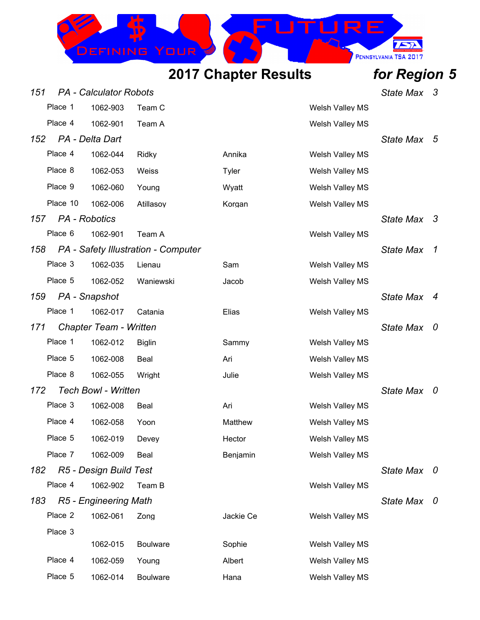

| 151 |               | <b>PA</b> - Calculator Robots |                                     |           |                        | <b>State Max</b> | 3                        |
|-----|---------------|-------------------------------|-------------------------------------|-----------|------------------------|------------------|--------------------------|
|     | Place 1       | 1062-903                      | Team C                              |           | Welsh Valley MS        |                  |                          |
|     | Place 4       | 1062-901                      | Team A                              |           | Welsh Valley MS        |                  |                          |
| 152 |               | PA - Delta Dart               |                                     |           |                        | <b>State Max</b> | - 5                      |
|     | Place 4       | 1062-044                      | Ridky                               | Annika    | Welsh Valley MS        |                  |                          |
|     | Place 8       | 1062-053                      | Weiss                               | Tyler     | <b>Welsh Valley MS</b> |                  |                          |
|     | Place 9       | 1062-060                      | Young                               | Wyatt     | Welsh Valley MS        |                  |                          |
|     | Place 10      | 1062-006                      | Atillasoy                           | Korgan    | Welsh Valley MS        |                  |                          |
| 157 | PA - Robotics |                               |                                     |           |                        | <b>State Max</b> | - 3                      |
|     | Place 6       | 1062-901                      | Team A                              |           | Welsh Valley MS        |                  |                          |
| 158 |               |                               | PA - Safety Illustration - Computer |           |                        | <b>State Max</b> | $\overline{1}$           |
|     | Place 3       | 1062-035                      | Lienau                              | Sam       | Welsh Valley MS        |                  |                          |
|     | Place 5       | 1062-052                      | Waniewski                           | Jacob     | Welsh Valley MS        |                  |                          |
| 159 |               | PA - Snapshot                 |                                     |           |                        | <b>State Max</b> | $\overline{4}$           |
|     | Place 1       | 1062-017                      | Catania                             | Elias     | Welsh Valley MS        |                  |                          |
| 171 |               | <b>Chapter Team - Written</b> |                                     |           |                        | <b>State Max</b> | - 0                      |
|     | Place 1       | 1062-012                      | <b>Biglin</b>                       | Sammy     | Welsh Valley MS        |                  |                          |
|     | Place 5       | 1062-008                      | Beal                                | Ari       | Welsh Valley MS        |                  |                          |
|     | Place 8       | 1062-055                      | Wright                              | Julie     | Welsh Valley MS        |                  |                          |
| 172 |               | <b>Tech Bowl - Written</b>    |                                     |           |                        | <b>State Max</b> | $\bm{0}$                 |
|     | Place 3       | 1062-008                      | Beal                                | Ari       | <b>Welsh Valley MS</b> |                  |                          |
|     | Place 4       | 1062-058                      | Yoon                                | Matthew   | Welsh Valley MS        |                  |                          |
|     | Place 5       | 1062-019                      | Devey                               | Hector    | Welsh Valley MS        |                  |                          |
|     | Place 7       | 1062-009                      | Beal                                | Benjamin  | <b>Welsh Valley MS</b> |                  |                          |
| 182 |               | R5 - Design Build Test        |                                     |           |                        | <b>State Max</b> | $\overline{\phantom{a}}$ |
|     | Place 4       | 1062-902                      | Team B                              |           | Welsh Valley MS        |                  |                          |
| 183 |               | R5 - Engineering Math         |                                     |           |                        | <b>State Max</b> | - 0                      |
|     | Place 2       | 1062-061                      | Zong                                | Jackie Ce | Welsh Valley MS        |                  |                          |
|     | Place 3       |                               |                                     |           |                        |                  |                          |
|     |               | 1062-015                      | <b>Boulware</b>                     | Sophie    | Welsh Valley MS        |                  |                          |
|     | Place 4       | 1062-059                      | Young                               | Albert    | Welsh Valley MS        |                  |                          |
|     | Place 5       | 1062-014                      | <b>Boulware</b>                     | Hana      | Welsh Valley MS        |                  |                          |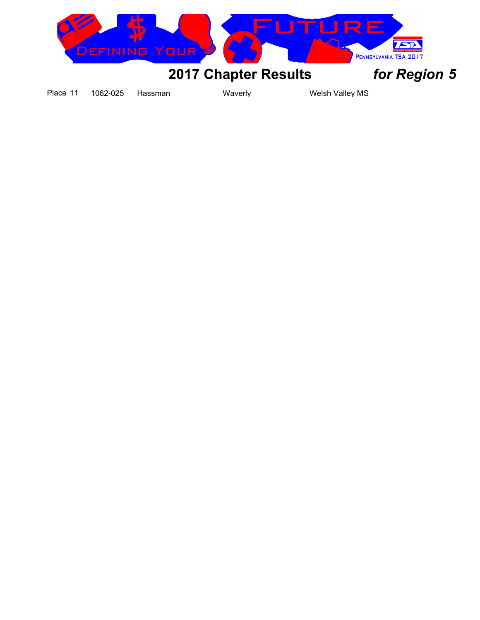

Place 11 1062-025 Hassman Waverly Waverly Welsh Valley MS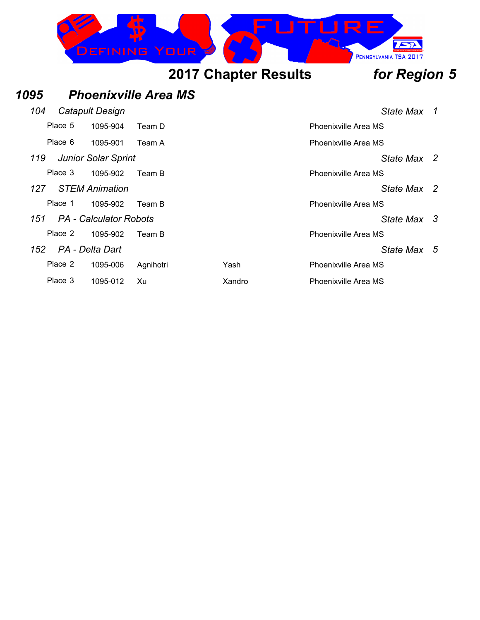

| 1095 |         |                               | <b>Phoenixville Area MS</b> |        |                             |             |    |
|------|---------|-------------------------------|-----------------------------|--------|-----------------------------|-------------|----|
| 104  |         | Catapult Design               |                             |        |                             | State Max   | 1  |
|      | Place 5 | 1095-904                      | Team D                      |        | <b>Phoenixville Area MS</b> |             |    |
|      | Place 6 | 1095-901                      | Team A                      |        | Phoenixville Area MS        |             |    |
| 119  |         | <b>Junior Solar Sprint</b>    |                             |        |                             | State Max 2 |    |
|      | Place 3 | 1095-902                      | Team B                      |        | Phoenixville Area MS        |             |    |
| 127. |         | <b>STEM Animation</b>         |                             |        |                             | State Max 2 |    |
|      | Place 1 | 1095-902                      | Team B                      |        | Phoenixville Area MS        |             |    |
| 151  |         | <b>PA</b> - Calculator Robots |                             |        |                             | State Max 3 |    |
|      | Place 2 | 1095-902                      | Team B                      |        | Phoenixville Area MS        |             |    |
| 152  |         | PA - Delta Dart               |                             |        |                             | State Max   | -5 |
|      | Place 2 | 1095-006                      | Agnihotri                   | Yash   | Phoenixville Area MS        |             |    |
|      | Place 3 | 1095-012                      | Xu                          | Xandro | Phoenixville Area MS        |             |    |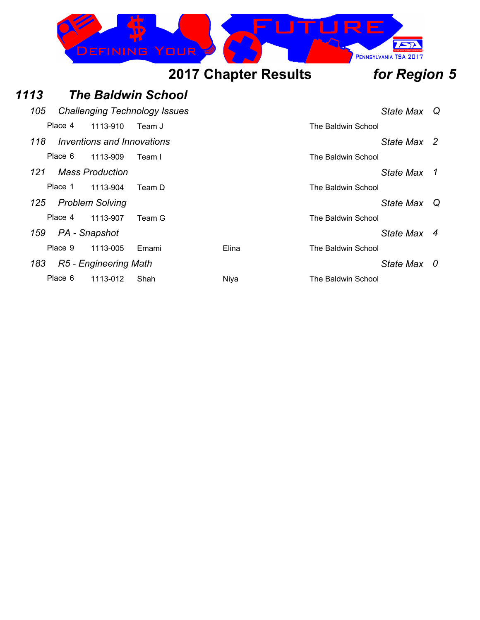

### *1113 The Baldwin School 105 Challenging Technology Issues State Max Q* Place 4 1113-910 Team J The Baldwin School *118 Inventions and Innovations State Max 2* Place 6 1113-909 Team I The Baldwin School *121 Mass Production State Max 1* Place 1 1113-904 Team D The Baldwin School *125 Problem Solving State Max Q* Place 4 1113-907 Team G The Baldwin School *159 PA - Snapshot State Max 4* Place 9 1113-005 Emami Elina Elina The Baldwin School *183 R5 - Engineering Math State Max 0* Place 6 1113-012 Shah Niya Niya The Baldwin School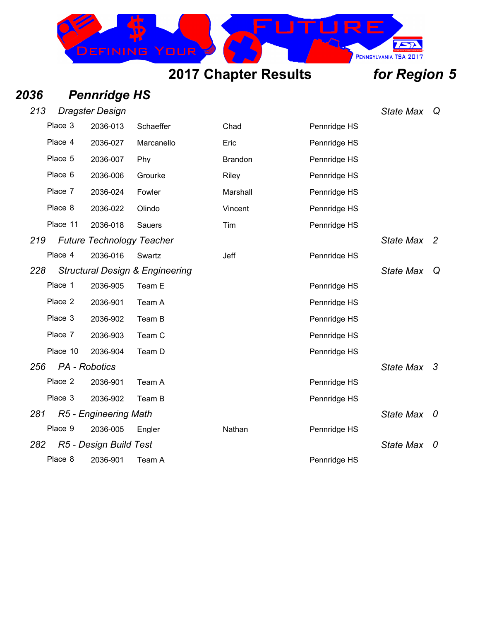## *2036 Pennridge HS*

| 213 |               | <b>Dragster Design</b>           |                                            |                |              | <b>State Max</b> | Q  |
|-----|---------------|----------------------------------|--------------------------------------------|----------------|--------------|------------------|----|
|     | Place 3       | 2036-013                         | Schaeffer                                  | Chad           | Pennridge HS |                  |    |
|     | Place 4       | 2036-027                         | Marcanello                                 | Eric           | Pennridge HS |                  |    |
|     | Place 5       | 2036-007                         | Phy                                        | <b>Brandon</b> | Pennridge HS |                  |    |
|     | Place 6       | 2036-006                         | Grourke                                    | Riley          | Pennridge HS |                  |    |
|     | Place 7       | 2036-024                         | Fowler                                     | Marshall       | Pennridge HS |                  |    |
|     | Place 8       | 2036-022                         | Olindo                                     | Vincent        | Pennridge HS |                  |    |
|     | Place 11      | 2036-018                         | Sauers                                     | Tim            | Pennridge HS |                  |    |
| 219 |               | <b>Future Technology Teacher</b> |                                            |                |              | <b>State Max</b> | -2 |
|     | Place 4       | 2036-016                         | Swartz                                     | Jeff           | Pennridge HS |                  |    |
| 228 |               |                                  | <b>Structural Design &amp; Engineering</b> |                |              | <b>State Max</b> | Q  |
|     | Place 1       | 2036-905                         | Team E                                     |                | Pennridge HS |                  |    |
|     | Place 2       | 2036-901                         | Team A                                     |                | Pennridge HS |                  |    |
|     | Place 3       | 2036-902                         | Team B                                     |                | Pennridge HS |                  |    |
|     | Place 7       | 2036-903                         | Team C                                     |                | Pennridge HS |                  |    |
|     | Place 10      | 2036-904                         | Team D                                     |                | Pennridge HS |                  |    |
| 256 | PA - Robotics |                                  |                                            |                |              | State Max 3      |    |
|     | Place 2       | 2036-901                         | Team A                                     |                | Pennridge HS |                  |    |
|     | Place 3       | 2036-902                         | Team B                                     |                | Pennridge HS |                  |    |
| 281 |               | R5 - Engineering Math            |                                            |                |              | <b>State Max</b> | 0  |
|     | Place 9       | 2036-005                         | Engler                                     | Nathan         | Pennridge HS |                  |    |
| 282 |               | R5 - Design Build Test           |                                            |                |              | <b>State Max</b> | 0  |
|     | Place 8       | 2036-901                         | Team A                                     |                | Pennridge HS |                  |    |

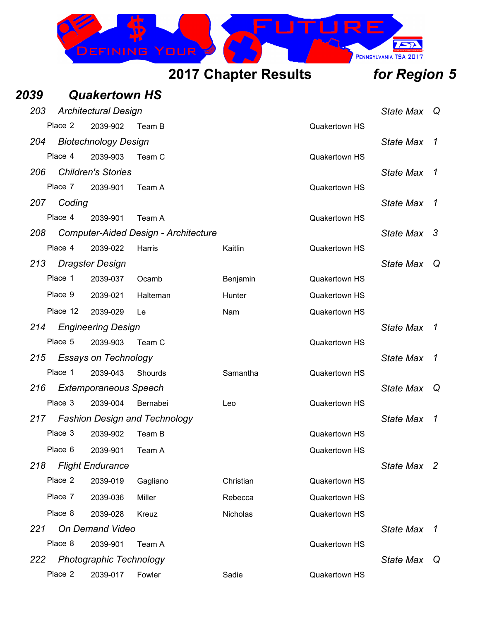

| 2039 |          | <b>Quakertown HS</b>           |                                             |           |                      |                  |    |
|------|----------|--------------------------------|---------------------------------------------|-----------|----------------------|------------------|----|
| 203  |          | <b>Architectural Design</b>    |                                             |           |                      | <b>State Max</b> | Q  |
|      | Place 2  | 2039-902                       | Team B                                      |           | Quakertown HS        |                  |    |
| 204  |          | <b>Biotechnology Design</b>    |                                             |           |                      | <b>State Max</b> | 1  |
|      | Place 4  | 2039-903                       | Team C                                      |           | Quakertown HS        |                  |    |
| 206  |          | <b>Children's Stories</b>      |                                             |           |                      | <b>State Max</b> | 1  |
|      | Place 7  | 2039-901                       | Team A                                      |           | Quakertown HS        |                  |    |
| 207  | Coding   |                                |                                             |           |                      | <b>State Max</b> | 1  |
|      | Place 4  | 2039-901                       | Team A                                      |           | <b>Quakertown HS</b> |                  |    |
| 208  |          |                                | <b>Computer-Aided Design - Architecture</b> |           |                      | <b>State Max</b> | -3 |
|      | Place 4  | 2039-022                       | Harris                                      | Kaitlin   | Quakertown HS        |                  |    |
| 213  |          | <b>Dragster Design</b>         |                                             |           |                      | <b>State Max</b> | Q  |
|      | Place 1  | 2039-037                       | Ocamb                                       | Benjamin  | Quakertown HS        |                  |    |
|      | Place 9  | 2039-021                       | Halteman                                    | Hunter    | <b>Quakertown HS</b> |                  |    |
|      | Place 12 | 2039-029                       | Le                                          | Nam       | Quakertown HS        |                  |    |
| 214  |          | <b>Engineering Design</b>      |                                             |           |                      | <b>State Max</b> | 1  |
|      | Place 5  | 2039-903                       | Team C                                      |           | Quakertown HS        |                  |    |
| 215  |          | <b>Essays on Technology</b>    |                                             |           |                      | <b>State Max</b> | 1  |
|      | Place 1  | 2039-043                       | Shourds                                     | Samantha  | Quakertown HS        |                  |    |
| 216  |          | <b>Extemporaneous Speech</b>   |                                             |           |                      | <b>State Max</b> | Q  |
|      | Place 3  | 2039-004                       | Bernabei                                    | Leo       | Quakertown HS        |                  |    |
| 217  |          |                                | <b>Fashion Design and Technology</b>        |           |                      | <b>State Max</b> | 1  |
|      | Place 3  | 2039-902                       | Team B                                      |           | <b>Quakertown HS</b> |                  |    |
|      | Place 6  | 2039-901                       | Team A                                      |           | Quakertown HS        |                  |    |
| 218  |          | <b>Flight Endurance</b>        |                                             |           |                      | State Max 2      |    |
|      | Place 2  | 2039-019                       | Gagliano                                    | Christian | <b>Quakertown HS</b> |                  |    |
|      | Place 7  | 2039-036                       | Miller                                      | Rebecca   | Quakertown HS        |                  |    |
|      | Place 8  | 2039-028                       | Kreuz                                       | Nicholas  | Quakertown HS        |                  |    |
| 221  |          | <b>On Demand Video</b>         |                                             |           |                      | <b>State Max</b> | 1  |
|      | Place 8  | 2039-901                       | Team A                                      |           | Quakertown HS        |                  |    |
| 222  |          | <b>Photographic Technology</b> |                                             |           |                      | <b>State Max</b> | Q  |
|      | Place 2  | 2039-017                       | Fowler                                      | Sadie     | Quakertown HS        |                  |    |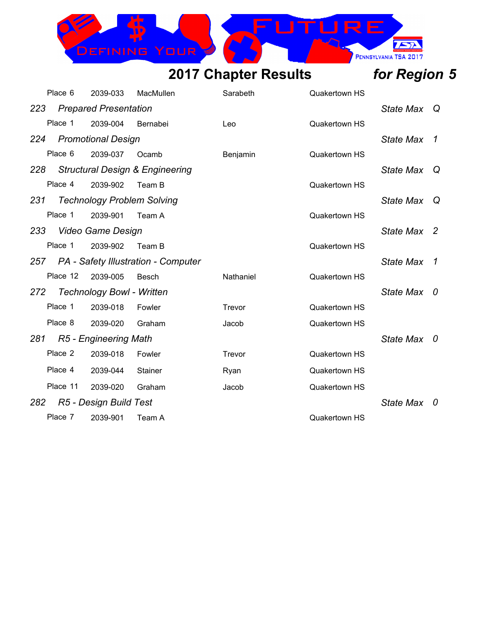### IRE  $\sqrt{2}$ DEFINING PENNSYLVANIA TSA 2017

|     | Place 6                                    | 2039-033                         | MacMullen                               | Sarabeth  | Quakertown HS        |                  |                |
|-----|--------------------------------------------|----------------------------------|-----------------------------------------|-----------|----------------------|------------------|----------------|
| 223 |                                            | <b>Prepared Presentation</b>     |                                         |           |                      | State Max        | Q              |
|     | Place 1                                    | 2039-004                         | Bernabei                                | Leo       | <b>Quakertown HS</b> |                  |                |
| 224 |                                            | <b>Promotional Design</b>        |                                         |           |                      | <b>State Max</b> | 1              |
|     | Place 6                                    | 2039-037                         | Ocamb                                   | Benjamin  | <b>Quakertown HS</b> |                  |                |
| 228 | <b>Structural Design &amp; Engineering</b> |                                  | State Max                               | Q         |                      |                  |                |
|     | Place 4                                    | 2039-902                         | Team B                                  |           | Quakertown HS        |                  |                |
| 231 | <b>Technology Problem Solving</b>          |                                  | State Max                               | Q         |                      |                  |                |
|     | Place 1                                    | 2039-901                         | Team A                                  |           | Quakertown HS        |                  |                |
| 233 |                                            | <b>Video Game Design</b>         |                                         |           |                      | State Max 2      |                |
|     | Place 1                                    | 2039-902                         | Team B                                  |           | <b>Quakertown HS</b> |                  |                |
|     |                                            |                                  | 257 PA - Safety Illustration - Computer |           |                      | <b>State Max</b> | $\overline{1}$ |
|     | Place 12                                   | 2039-005                         | <b>Besch</b>                            | Nathaniel | Quakertown HS        |                  |                |
| 272 |                                            | <b>Technology Bowl - Written</b> |                                         |           |                      | <b>State Max</b> | 0              |
|     | Place 1                                    | 2039-018                         | Fowler                                  | Trevor    | <b>Quakertown HS</b> |                  |                |
|     | Place 8                                    | 2039-020                         | Graham                                  | Jacob     | Quakertown HS        |                  |                |
|     |                                            | 281 R5 - Engineering Math        |                                         |           |                      | State Max 0      |                |
|     | Place 2                                    | 2039-018                         | Fowler                                  | Trevor    | <b>Quakertown HS</b> |                  |                |
|     | Place 4                                    | 2039-044                         | <b>Stainer</b>                          | Ryan      | Quakertown HS        |                  |                |
|     | Place 11                                   | 2039-020                         | Graham                                  | Jacob     | <b>Quakertown HS</b> |                  |                |
|     |                                            | 282 R5 - Design Build Test       |                                         |           |                      | <b>State Max</b> | 0              |
|     | Place 7                                    | 2039-901                         | Team A                                  |           | <b>Quakertown HS</b> |                  |                |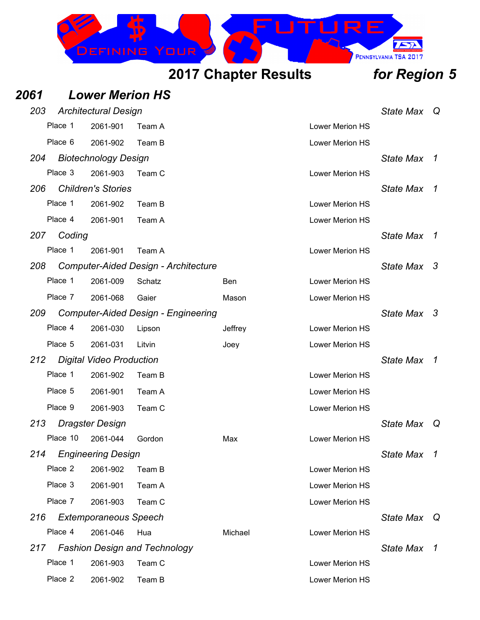

### *2061 Lower Merion HS 203 Architectural Design State Max Q* Place 1 2061-901 Team A Lower Merion HS Place 6 2061-902 Team B Lower Merion HS *204 Biotechnology Design State Max 1* Place 3 2061-903 Team C Lower Merion HS *206 Children's Stories State Max 1* Place 1 2061-902 Team B Lower Merion HS Place 4 2061-901 Team A Lower Merion HS *207 Coding State Max 1* Place 1 2061-901 Team A Lower Merion HS *208 Computer-Aided Design - Architecture State Max 3* Place 1 2061-009 Schatz **Ben Ben** Lower Merion HS Place 7 2061-068 Gaier Mason Lower Merion HS *209 Computer-Aided Design - Engineering State Max 3* Place 4 2061-030 Lipson Jeffrey Lower Merion HS Place 5 2061-031 Litvin Joey Joey Lower Merion HS *212 Digital Video Production State Max 1* Place 1 2061-902 Team B Lower Merion HS Place 5 2061-901 Team A Lower Merion HS Place 9 2061-903 Team C Lower Merion HS *213 Dragster Design State Max Q* Place 10 2061-044 Gordon Max Lower Merion HS *214 Engineering Design State Max 1* Place 2 2061-902 Team B 2008 Contract 2008 Contract 2 2061-902 Place 3 2061-901 Team A Lower Merion HS Place 7 2061-903 Team C Lower Merion HS *216 Extemporaneous Speech State Max Q* Place 4 2061-046 Hua **Michael Michael** Lower Merion HS *217 Fashion Design and Technology State Max 1* Place 1 2061-903 Team C Lower Merion HS Place 2 2061-902 Team B Lower Merion HS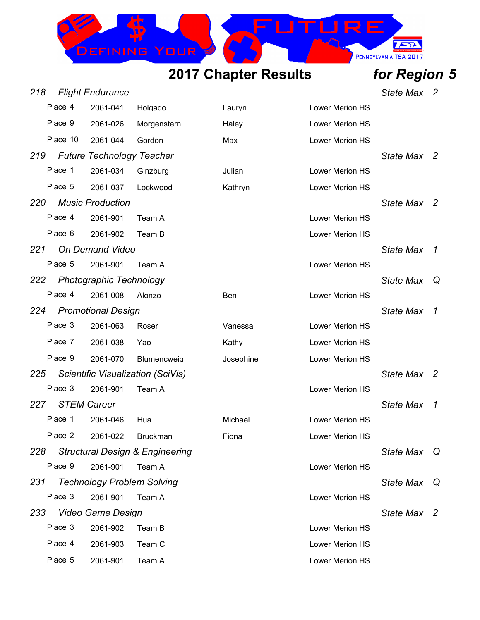

*218 Flight Endurance State Max 2*

|     | Place 4  | 2061-041                         | Holgado                                    | Lauryn    | Lower Merion HS |                  |              |
|-----|----------|----------------------------------|--------------------------------------------|-----------|-----------------|------------------|--------------|
|     | Place 9  | 2061-026                         | Morgenstern                                | Haley     | Lower Merion HS |                  |              |
|     | Place 10 | 2061-044                         | Gordon                                     | Max       | Lower Merion HS |                  |              |
| 219 |          | <b>Future Technology Teacher</b> |                                            |           |                 | State Max 2      |              |
|     | Place 1  | 2061-034                         | Ginzburg                                   | Julian    | Lower Merion HS |                  |              |
|     | Place 5  | 2061-037                         | Lockwood                                   | Kathryn   | Lower Merion HS |                  |              |
| 220 |          | <b>Music Production</b>          |                                            |           |                 | State Max 2      |              |
|     | Place 4  | 2061-901                         | Team A                                     |           | Lower Merion HS |                  |              |
|     | Place 6  | 2061-902                         | Team B                                     |           | Lower Merion HS |                  |              |
| 221 |          | <b>On Demand Video</b>           |                                            |           |                 | <b>State Max</b> | 1            |
|     | Place 5  | 2061-901                         | Team A                                     |           | Lower Merion HS |                  |              |
| 222 |          | <b>Photographic Technology</b>   |                                            |           |                 | <b>State Max</b> | Q            |
|     | Place 4  | 2061-008                         | Alonzo                                     | Ben       | Lower Merion HS |                  |              |
| 224 |          | <b>Promotional Design</b>        |                                            |           |                 | <b>State Max</b> | $\mathcal I$ |
|     | Place 3  | 2061-063                         | Roser                                      | Vanessa   | Lower Merion HS |                  |              |
|     | Place 7  | 2061-038                         | Yao                                        | Kathy     | Lower Merion HS |                  |              |
|     | Place 9  | 2061-070                         | Blumencweig                                | Josephine | Lower Merion HS |                  |              |
| 225 |          |                                  | Scientific Visualization (SciVis)          |           |                 | <b>State Max</b> | -2           |
|     | Place 3  | 2061-901                         | Team A                                     |           | Lower Merion HS |                  |              |
| 227 |          | <b>STEM Career</b>               |                                            |           |                 | <b>State Max</b> | $\mathcal I$ |
|     | Place 1  | 2061-046                         | Hua                                        | Michael   | Lower Merion HS |                  |              |
|     | Place 2  | 2061-022                         | <b>Bruckman</b>                            | Fiona     | Lower Merion HS |                  |              |
| 228 |          |                                  | <b>Structural Design &amp; Engineering</b> |           |                 | State Max        | Q            |
|     | Place 9  | 2061-901                         | Team A                                     |           | Lower Merion HS |                  |              |
| 231 |          |                                  | <b>Technology Problem Solving</b>          |           |                 | <b>State Max</b> | Q            |
|     | Place 3  | 2061-901                         | Team A                                     |           | Lower Merion HS |                  |              |
| 233 |          | <b>Video Game Design</b>         |                                            |           |                 | State Max 2      |              |
|     | Place 3  | 2061-902                         | Team B                                     |           | Lower Merion HS |                  |              |
|     | Place 4  | 2061-903                         | Team C                                     |           | Lower Merion HS |                  |              |
|     | Place 5  | 2061-901                         | Team A                                     |           | Lower Merion HS |                  |              |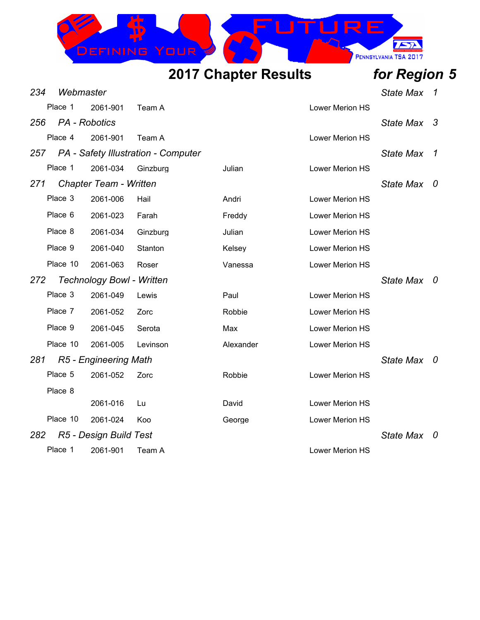

| 234 | Webmaster     |                                  |                                     |           |                 | <b>State Max</b> | 1                    |
|-----|---------------|----------------------------------|-------------------------------------|-----------|-----------------|------------------|----------------------|
|     | Place 1       | 2061-901                         | Team A                              |           | Lower Merion HS |                  |                      |
| 256 | PA - Robotics |                                  |                                     |           |                 | <b>State Max</b> | -3                   |
|     | Place 4       | 2061-901                         | Team A                              |           | Lower Merion HS |                  |                      |
| 257 |               |                                  | PA - Safety Illustration - Computer |           |                 | <b>State Max</b> | $\boldsymbol{\beta}$ |
|     | Place 1       | 2061-034                         | Ginzburg                            | Julian    | Lower Merion HS |                  |                      |
| 271 |               | <b>Chapter Team - Written</b>    |                                     |           |                 | <b>State Max</b> | U                    |
|     | Place 3       | 2061-006                         | Hail                                | Andri     | Lower Merion HS |                  |                      |
|     | Place 6       | 2061-023                         | Farah                               | Freddy    | Lower Merion HS |                  |                      |
|     | Place 8       | 2061-034                         | Ginzburg                            | Julian    | Lower Merion HS |                  |                      |
|     | Place 9       | 2061-040                         | Stanton                             | Kelsey    | Lower Merion HS |                  |                      |
|     | Place 10      | 2061-063                         | Roser                               | Vanessa   | Lower Merion HS |                  |                      |
| 272 |               | <b>Technology Bowl - Written</b> |                                     |           |                 | State Max 0      |                      |
|     | Place 3       | 2061-049                         | Lewis                               | Paul      | Lower Merion HS |                  |                      |
|     | Place 7       | 2061-052                         | Zorc                                | Robbie    | Lower Merion HS |                  |                      |
|     | Place 9       | 2061-045                         | Serota                              | Max       | Lower Merion HS |                  |                      |
|     | Place 10      | 2061-005                         | Levinson                            | Alexander | Lower Merion HS |                  |                      |
| 281 |               | R5 - Engineering Math            |                                     |           |                 | <b>State Max</b> | - 0                  |
|     | Place 5       | 2061-052                         | Zorc                                | Robbie    | Lower Merion HS |                  |                      |
|     | Place 8       |                                  |                                     |           |                 |                  |                      |
|     |               | 2061-016                         | Lu                                  | David     | Lower Merion HS |                  |                      |
|     | Place 10      | 2061-024                         | Koo                                 | George    | Lower Merion HS |                  |                      |
| 282 |               | R5 - Design Build Test           |                                     |           |                 | <b>State Max</b> | 0                    |
|     | Place 1       | 2061-901                         | Team A                              |           | Lower Merion HS |                  |                      |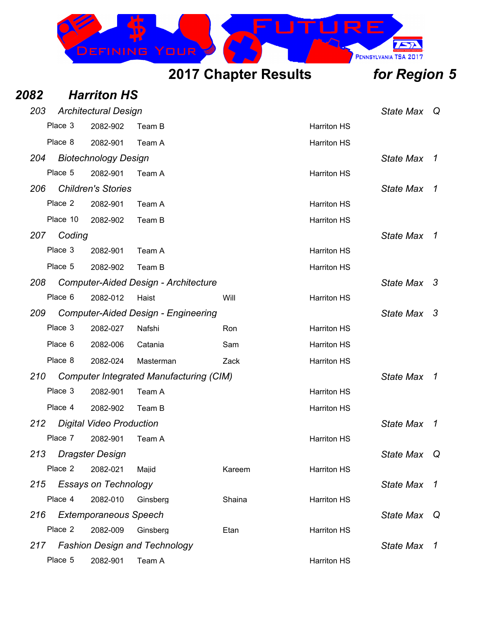

| 2082 |          | <b>Harriton HS</b>              |                                                |        |                    |                  |                |
|------|----------|---------------------------------|------------------------------------------------|--------|--------------------|------------------|----------------|
| 203  |          | <b>Architectural Design</b>     |                                                |        |                    | <b>State Max</b> | ⊇ Q            |
|      | Place 3  | 2082-902                        | Team B                                         |        | <b>Harriton HS</b> |                  |                |
|      | Place 8  | 2082-901                        | Team A                                         |        | <b>Harriton HS</b> |                  |                |
| 204  |          | <b>Biotechnology Design</b>     |                                                |        |                    | <b>State Max</b> | 1              |
|      | Place 5  | 2082-901                        | Team A                                         |        | <b>Harriton HS</b> |                  |                |
| 206  |          | <b>Children's Stories</b>       |                                                |        |                    | <b>State Max</b> | 1              |
|      | Place 2  | 2082-901                        | Team A                                         |        | <b>Harriton HS</b> |                  |                |
|      | Place 10 | 2082-902                        | Team B                                         |        | <b>Harriton HS</b> |                  |                |
| 207  | Coding   |                                 |                                                |        |                    | <b>State Max</b> | $\overline{1}$ |
|      | Place 3  | 2082-901                        | Team A                                         |        | <b>Harriton HS</b> |                  |                |
|      | Place 5  | 2082-902                        | Team B                                         |        | <b>Harriton HS</b> |                  |                |
| 208  |          |                                 | <b>Computer-Aided Design - Architecture</b>    |        |                    | <b>State Max</b> | - 3            |
|      | Place 6  | 2082-012                        | Haist                                          | Will   | <b>Harriton HS</b> |                  |                |
| 209  |          |                                 | <b>Computer-Aided Design - Engineering</b>     |        |                    | State Max 3      |                |
|      | Place 3  | 2082-027                        | Nafshi                                         | Ron    | <b>Harriton HS</b> |                  |                |
|      | Place 6  | 2082-006                        | Catania                                        | Sam    | <b>Harriton HS</b> |                  |                |
|      | Place 8  | 2082-024                        | Masterman                                      | Zack   | <b>Harriton HS</b> |                  |                |
| 210  |          |                                 | <b>Computer Integrated Manufacturing (CIM)</b> |        |                    | <b>State Max</b> | $\overline{1}$ |
|      | Place 3  | 2082-901                        | Team A                                         |        | <b>Harriton HS</b> |                  |                |
|      | Place 4  | 2082-902                        | Team B                                         |        | <b>Harriton HS</b> |                  |                |
| 212  |          | <b>Digital Video Production</b> |                                                |        |                    | <b>State Max</b> | 1              |
|      | Place 7  | 2082-901                        | Team A                                         |        | <b>Harriton HS</b> |                  |                |
| 213  |          | <b>Dragster Design</b>          |                                                |        |                    | <b>State Max</b> | Q              |
|      | Place 2  | 2082-021                        | Majid                                          | Kareem | <b>Harriton HS</b> |                  |                |
| 215  |          | <b>Essays on Technology</b>     |                                                |        |                    | <b>State Max</b> | $\overline{1}$ |
|      | Place 4  | 2082-010                        | Ginsberg                                       | Shaina | <b>Harriton HS</b> |                  |                |
| 216  |          | <b>Extemporaneous Speech</b>    |                                                |        |                    | <b>State Max</b> | Q              |
|      | Place 2  | 2082-009                        | Ginsberg                                       | Etan   | <b>Harriton HS</b> |                  |                |
| 217  |          |                                 | <b>Fashion Design and Technology</b>           |        |                    | <b>State Max</b> | $\mathcal{I}$  |
|      | Place 5  | 2082-901                        | Team A                                         |        | <b>Harriton HS</b> |                  |                |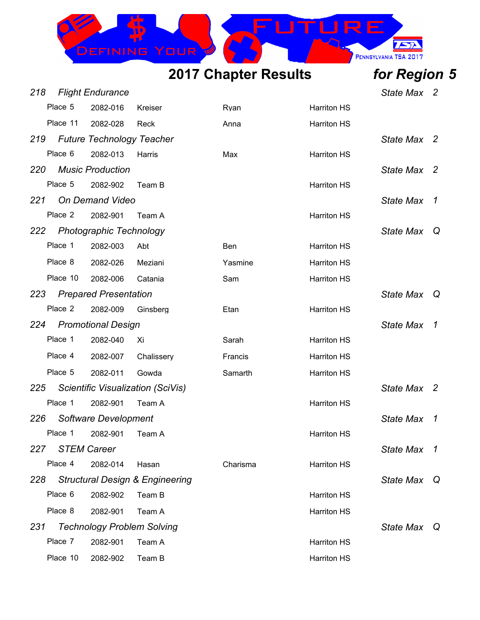

| 218 |          | <b>Flight Endurance</b>          |                                            |          |                    | <b>State Max</b> | $\overline{2}$           |
|-----|----------|----------------------------------|--------------------------------------------|----------|--------------------|------------------|--------------------------|
|     | Place 5  | 2082-016                         | Kreiser                                    | Ryan     | <b>Harriton HS</b> |                  |                          |
|     | Place 11 | 2082-028                         | Reck                                       | Anna     | <b>Harriton HS</b> |                  |                          |
| 219 |          | <b>Future Technology Teacher</b> |                                            |          |                    | <b>State Max</b> | $\overline{2}$           |
|     | Place 6  | 2082-013                         | Harris                                     | Max      | <b>Harriton HS</b> |                  |                          |
| 220 |          | <b>Music Production</b>          |                                            |          |                    | <b>State Max</b> | $\overline{2}$           |
|     | Place 5  | 2082-902                         | Team B                                     |          | <b>Harriton HS</b> |                  |                          |
| 221 |          | <b>On Demand Video</b>           |                                            |          |                    | <b>State Max</b> | $\overline{1}$           |
|     | Place 2  | 2082-901                         | Team A                                     |          | <b>Harriton HS</b> |                  |                          |
| 222 |          | Photographic Technology          |                                            |          |                    | <b>State Max</b> | Q                        |
|     | Place 1  | 2082-003                         | Abt                                        | Ben      | <b>Harriton HS</b> |                  |                          |
|     | Place 8  | 2082-026                         | Meziani                                    | Yasmine  | <b>Harriton HS</b> |                  |                          |
|     | Place 10 | 2082-006                         | Catania                                    | Sam      | <b>Harriton HS</b> |                  |                          |
| 223 |          | <b>Prepared Presentation</b>     |                                            |          |                    | <b>State Max</b> | - Q                      |
|     | Place 2  | 2082-009                         | Ginsberg                                   | Etan     | <b>Harriton HS</b> |                  |                          |
| 224 |          | <b>Promotional Design</b>        |                                            |          |                    | <b>State Max</b> | $\overline{1}$           |
|     | Place 1  | 2082-040                         | Xi                                         | Sarah    | <b>Harriton HS</b> |                  |                          |
|     | Place 4  | 2082-007                         | Chalissery                                 | Francis  | <b>Harriton HS</b> |                  |                          |
|     | Place 5  | 2082-011                         | Gowda                                      | Samarth  | <b>Harriton HS</b> |                  |                          |
| 225 |          |                                  | Scientific Visualization (SciVis)          |          |                    | <b>State Max</b> | $\overline{\phantom{a}}$ |
|     | Place 1  | 2082-901                         | Team A                                     |          | <b>Harriton HS</b> |                  |                          |
| 226 |          | Software Development             |                                            |          |                    | <b>State Max</b> | $\overline{1}$           |
|     | Place 1  | 2082-901                         | Team A                                     |          | <b>Harriton HS</b> |                  |                          |
| 227 |          | <b>STEM Career</b>               |                                            |          |                    | <b>State Max</b> | $\overline{1}$           |
|     | Place 4  | 2082-014                         | Hasan                                      | Charisma | <b>Harriton HS</b> |                  |                          |
| 228 |          |                                  | <b>Structural Design &amp; Engineering</b> |          |                    | <b>State Max</b> | Q                        |
|     | Place 6  | 2082-902                         | Team B                                     |          | <b>Harriton HS</b> |                  |                          |
|     | Place 8  | 2082-901                         | Team A                                     |          | <b>Harriton HS</b> |                  |                          |
| 231 |          |                                  | <b>Technology Problem Solving</b>          |          |                    | <b>State Max</b> | - Q                      |
|     | Place 7  | 2082-901                         | Team A                                     |          | <b>Harriton HS</b> |                  |                          |
|     | Place 10 | 2082-902                         | Team B                                     |          | <b>Harriton HS</b> |                  |                          |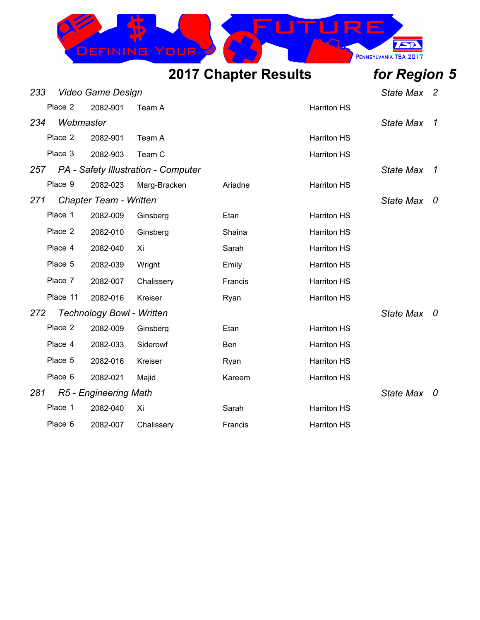

| 233 |           | <b>Video Game Design</b>         |                                     |         |                    | State Max 2      |   |
|-----|-----------|----------------------------------|-------------------------------------|---------|--------------------|------------------|---|
|     | Place 2   | 2082-901                         | Team A                              |         | <b>Harriton HS</b> |                  |   |
| 234 | Webmaster |                                  |                                     |         |                    | <b>State Max</b> | 1 |
|     | Place 2   | 2082-901                         | Team A                              |         | <b>Harriton HS</b> |                  |   |
|     | Place 3   | 2082-903                         | Team C                              |         | <b>Harriton HS</b> |                  |   |
| 257 |           |                                  | PA - Safety Illustration - Computer |         |                    | <b>State Max</b> | 1 |
|     | Place 9   | 2082-023                         | Marg-Bracken                        | Ariadne | <b>Harriton HS</b> |                  |   |
| 271 |           | <b>Chapter Team - Written</b>    |                                     |         |                    | State Max        | 0 |
|     | Place 1   | 2082-009                         | Ginsberg                            | Etan    | <b>Harriton HS</b> |                  |   |
|     | Place 2   | 2082-010                         | Ginsberg                            | Shaina  | <b>Harriton HS</b> |                  |   |
|     | Place 4   | 2082-040                         | Xi                                  | Sarah   | <b>Harriton HS</b> |                  |   |
|     | Place 5   | 2082-039                         | Wright                              | Emily   | <b>Harriton HS</b> |                  |   |
|     | Place 7   | 2082-007                         | Chalissery                          | Francis | <b>Harriton HS</b> |                  |   |
|     | Place 11  | 2082-016                         | Kreiser                             | Ryan    | <b>Harriton HS</b> |                  |   |
| 272 |           | <b>Technology Bowl - Written</b> |                                     |         |                    | State Max 0      |   |
|     | Place 2   | 2082-009                         | Ginsberg                            | Etan    | <b>Harriton HS</b> |                  |   |
|     | Place 4   | 2082-033                         | Siderowf                            | Ben     | <b>Harriton HS</b> |                  |   |
|     | Place 5   | 2082-016                         | Kreiser                             | Ryan    | <b>Harriton HS</b> |                  |   |
|     | Place 6   | 2082-021                         | Majid                               | Kareem  | <b>Harriton HS</b> |                  |   |
| 281 |           | R5 - Engineering Math            |                                     |         |                    | State Max 0      |   |
|     | Place 1   | 2082-040                         | Xi                                  | Sarah   | <b>Harriton HS</b> |                  |   |
|     | Place 6   | 2082-007                         | Chalissery                          | Francis | <b>Harriton HS</b> |                  |   |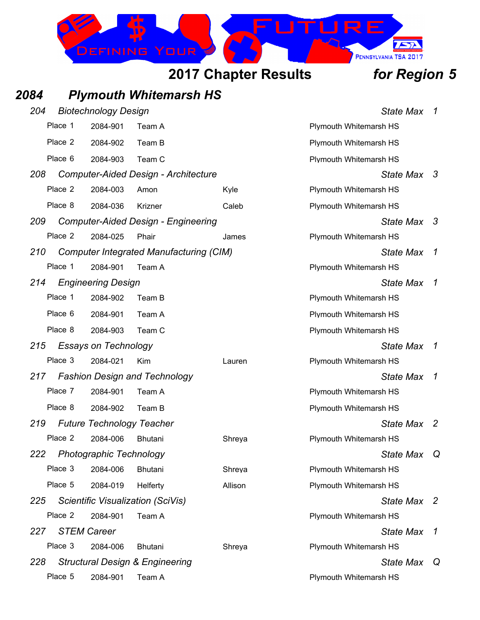

## *2084 Plymouth Whitemarsh HS*

| 204 |         | <b>Biotechnology Design</b>      |                                                |         | <b>State Max</b>              | $\mathcal I$        |
|-----|---------|----------------------------------|------------------------------------------------|---------|-------------------------------|---------------------|
|     | Place 1 | 2084-901                         | Team A                                         |         | <b>Plymouth Whitemarsh HS</b> |                     |
|     | Place 2 | 2084-902                         | Team B                                         |         | Plymouth Whitemarsh HS        |                     |
|     | Place 6 | 2084-903                         | Team C                                         |         | Plymouth Whitemarsh HS        |                     |
| 208 |         |                                  | <b>Computer-Aided Design - Architecture</b>    |         | State Max 3                   |                     |
|     | Place 2 | 2084-003                         | Amon                                           | Kyle    | <b>Plymouth Whitemarsh HS</b> |                     |
|     | Place 8 | 2084-036                         | Krizner                                        | Caleb   | Plymouth Whitemarsh HS        |                     |
| 209 |         |                                  | <b>Computer-Aided Design - Engineering</b>     |         | State Max 3                   |                     |
|     | Place 2 | 2084-025                         | Phair                                          | James   | Plymouth Whitemarsh HS        |                     |
| 210 |         |                                  | <b>Computer Integrated Manufacturing (CIM)</b> |         | <b>State Max</b>              | $\boldsymbol{\tau}$ |
|     | Place 1 | 2084-901                         | Team A                                         |         | Plymouth Whitemarsh HS        |                     |
| 214 |         | <b>Engineering Design</b>        |                                                |         | <b>State Max</b>              | 1                   |
|     | Place 1 | 2084-902                         | Team B                                         |         | <b>Plymouth Whitemarsh HS</b> |                     |
|     | Place 6 | 2084-901                         | Team A                                         |         | Plymouth Whitemarsh HS        |                     |
|     | Place 8 | 2084-903                         | Team C                                         |         | Plymouth Whitemarsh HS        |                     |
| 215 |         | <b>Essays on Technology</b>      |                                                |         | State Max                     | 1                   |
|     | Place 3 | 2084-021                         | Kim                                            | Lauren  | Plymouth Whitemarsh HS        |                     |
| 217 |         |                                  | <b>Fashion Design and Technology</b>           |         | <b>State Max</b>              | 1                   |
|     | Place 7 | 2084-901                         | Team A                                         |         | Plymouth Whitemarsh HS        |                     |
|     | Place 8 | 2084-902                         | Team B                                         |         | Plymouth Whitemarsh HS        |                     |
| 219 |         | <b>Future Technology Teacher</b> |                                                |         | <b>State Max</b>              | -2                  |
|     | Place 2 | 2084-006                         | <b>Bhutani</b>                                 | Shreya  | <b>Plymouth Whitemarsh HS</b> |                     |
| 222 |         | <b>Photographic Technology</b>   |                                                |         | State Max                     | Q                   |
|     | Place 3 | 2084-006                         | <b>Bhutani</b>                                 | Shreya  | <b>Plymouth Whitemarsh HS</b> |                     |
|     | Place 5 | 2084-019                         | Helferty                                       | Allison | <b>Plymouth Whitemarsh HS</b> |                     |
| 225 |         |                                  | <b>Scientific Visualization (SciVis)</b>       |         | State Max 2                   |                     |
|     | Place 2 | 2084-901                         | Team A                                         |         | Plymouth Whitemarsh HS        |                     |
| 227 |         | <b>STEM Career</b>               |                                                |         | State Max                     | 1                   |
|     | Place 3 | 2084-006                         | Bhutani                                        | Shreya  | Plymouth Whitemarsh HS        |                     |
| 228 |         |                                  | <b>Structural Design &amp; Engineering</b>     |         | State Max Q                   |                     |
|     | Place 5 | 2084-901                         | Team A                                         |         | Plymouth Whitemarsh HS        |                     |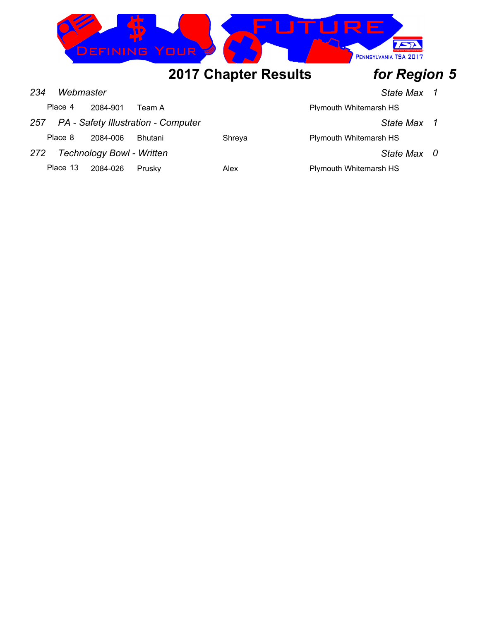

|     | Place 4  | 2084-901                         | Team A                              |        | Plymouth Whitemarsh HS |             |  |
|-----|----------|----------------------------------|-------------------------------------|--------|------------------------|-------------|--|
| 257 |          |                                  | PA - Safety Illustration - Computer |        |                        | State Max 1 |  |
|     | Place 8  | 2084-006                         | <b>Bhutani</b>                      | Shreva | Plymouth Whitemarsh HS |             |  |
| 272 |          | <b>Technology Bowl - Written</b> |                                     |        |                        | State Max 0 |  |
|     | Place 13 | 2084-026                         | Prusky                              | Alex   | Plymouth Whitemarsh HS |             |  |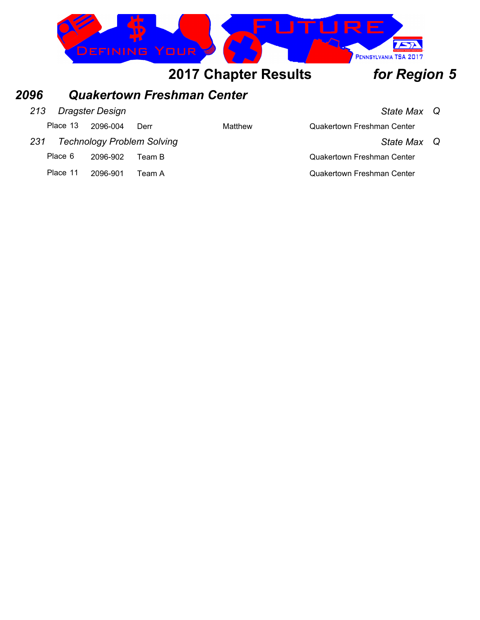

### *2096 Quakertown Freshman Center*

### *213 Dragster Design State Max Q*

|     | Place 13 2096-004 | Derr                              | Matthew | <b>Quakertown Freshman Center</b> |  |
|-----|-------------------|-----------------------------------|---------|-----------------------------------|--|
| 231 |                   | <b>Technology Problem Solving</b> |         | State Max Q                       |  |

| Place 6 | 2096-902 | Team B |
|---------|----------|--------|
|         |          |        |

Place 11 2096-901 Team A Contract Contract Contract Contract Center Center

# Quakertown Freshman Center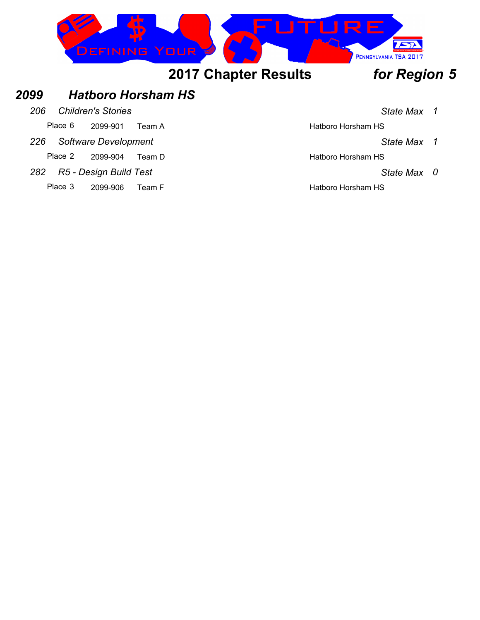

### *2099 Hatboro Horsham HS*

*206 Children's Stories State Max 1*

Place 6 2099-901 Team A Hatboro Horsham HS

*226 Software Development State Max 1*

Place 2 2099-904 Team D Hatboro Horsham HS

- *282 R5 Design Build Test State Max 0*
	- Place 3 2099-906 Team F Hatboro Horsham HS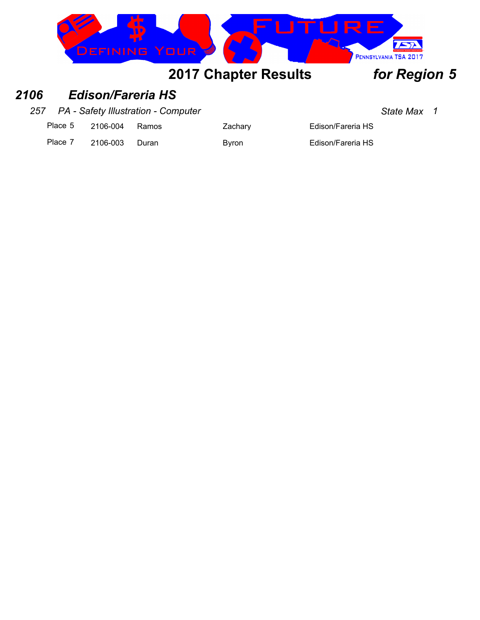

### *2106 Edison/Fareria HS*

*257 PA - Safety Illustration - Computer State Max 1*

Place 5 2106-004 Ramos Zachary Zachary Edison/Fareria HS

Place 7 2106-003 Duran Byron Byron Edison/Fareria HS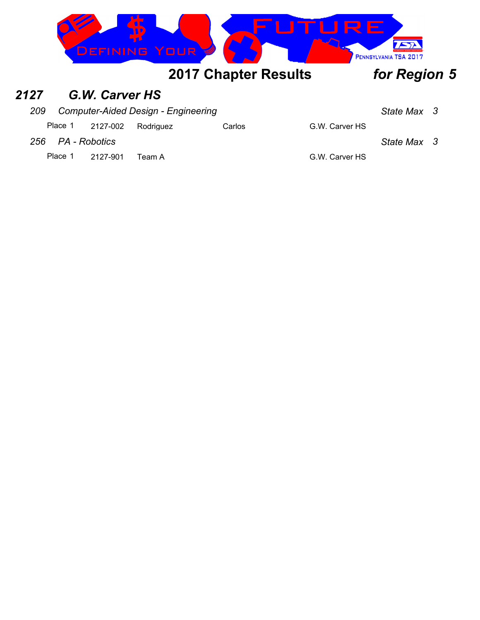

### *2127 G.W. Carver HS*

| 209 | <b>Computer-Aided Design - Engineering</b> | State Max 3 |
|-----|--------------------------------------------|-------------|
|-----|--------------------------------------------|-------------|

| Place 1 2127-002 Rodriguez<br>Carlos |  |  |  |  |  | G.W. Carver HS |
|--------------------------------------|--|--|--|--|--|----------------|
|--------------------------------------|--|--|--|--|--|----------------|

### *256 PA - Robotics State Max 3*

Place 1 2127-901 Team A G.W. Carver HS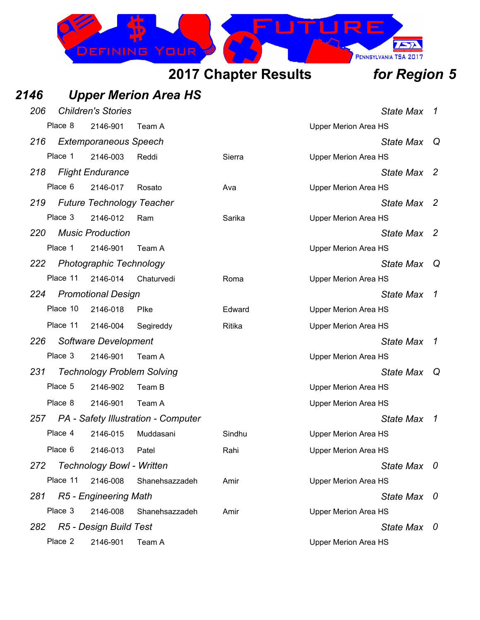

### *2146 Upper Merion Area HS 206 Children's Stories State Max 1* Place 8 2146-901 Team A Contract Contract Contract Contract Contract Contract Contract Place 3 2146-901 Team A *216 Extemporaneous Speech State Max Q* Place 1 2146-003 Reddi Sierra Sierra Upper Merion Area HS *218 Flight Endurance State Max 2* Place 6 2146-017 Rosato Ava Ava Upper Merion Area HS *219 Future Technology Teacher State Max 2* Place 3 2146-012 Ram Sarika Upper Merion Area HS *220 Music Production State Max 2* Place 1 2146-901 Team A Contract Contract Contract Contract Contract Contract Contract Contract Contract Contract Contract Contract Contract Contract Contract Contract Contract Contract Contract Contract Contract Contract *222 Photographic Technology State Max Q* Place 11 2146-014 Chaturvedi Roma Nepper Merion Area HS *224 Promotional Design State Max 1* Place 10 2146-018 PIke Edward Edward Upper Merion Area HS Place 11 2146-004 Segireddy Ritika Upper Merion Area HS *226 Software Development State Max 1* Place 3 2146-901 Team A Contract Contract Contract Contract Contract Contract Contract Contract Contract Contract Contract Contract Contract Contract Contract Contract Contract Contract Contract Contract Contract Contract *231 Technology Problem Solving State Max Q* Place 5 2146-902 Team B Note 1 2008 and the Upper Merion Area HS Place 8 2146-901 Team A Contract Contract Contract Contract Contract Contract Contract Contract Contract Contract Contract Contract Contract Contract Contract Contract Contract Contract Contract Contract Contract Contract *257 PA - Safety Illustration - Computer State Max 1* Place 4 2146-015 Muddasani Sindhu Sindhu Upper Merion Area HS Place 6 2146-013 Patel Rahi Rahi Upper Merion Area HS *272 Technology Bowl - Written State Max 0* Place 11 2146-008 Shanehsazzadeh Amir Upper Merion Area HS *281 R5 - Engineering Math State Max 0* Place 3 2146-008 Shanehsazzadeh Amir Upper Merion Area HS *282 R5 - Design Build Test State Max 0* Place 2 2146-901 Team A New York Charles Company Upper Merion Area HS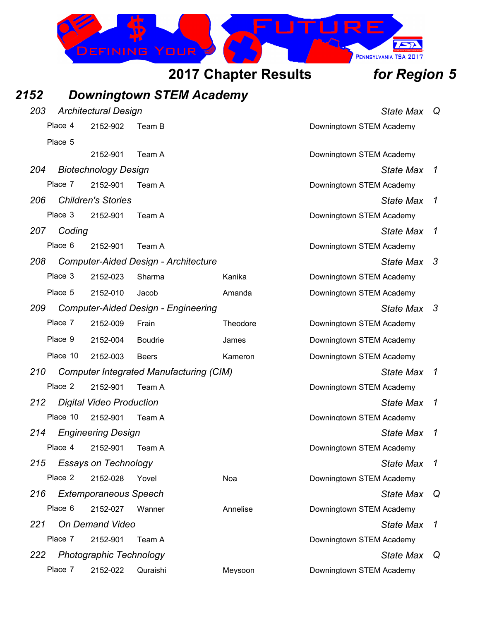

## *2152 Downingtown STEM Academy*

| 203 |          | <b>Architectural Design</b>     | <b>State Max</b>                               | Q        |                          |    |
|-----|----------|---------------------------------|------------------------------------------------|----------|--------------------------|----|
|     | Place 4  | 2152-902                        | Team B                                         |          | Downingtown STEM Academy |    |
|     | Place 5  |                                 |                                                |          |                          |    |
|     |          | 2152-901                        | Team A                                         |          | Downingtown STEM Academy |    |
| 204 |          | <b>Biotechnology Design</b>     |                                                |          | <b>State Max</b>         | 1  |
|     | Place 7  | 2152-901                        | Team A                                         |          | Downingtown STEM Academy |    |
| 206 |          | <b>Children's Stories</b>       |                                                |          | <b>State Max</b>         | 1  |
|     | Place 3  | 2152-901                        | Team A                                         |          | Downingtown STEM Academy |    |
| 207 | Coding   |                                 |                                                |          | <b>State Max</b>         | 1  |
|     | Place 6  | 2152-901                        | Team A                                         |          | Downingtown STEM Academy |    |
| 208 |          |                                 | <b>Computer-Aided Design - Architecture</b>    |          | <b>State Max</b>         | 3  |
|     | Place 3  | 2152-023                        | Sharma                                         | Kanika   | Downingtown STEM Academy |    |
|     | Place 5  | 2152-010                        | Jacob                                          | Amanda   | Downingtown STEM Academy |    |
| 209 |          |                                 | <b>Computer-Aided Design - Engineering</b>     |          | State Max                | -3 |
|     | Place 7  | 2152-009                        | Frain                                          | Theodore | Downingtown STEM Academy |    |
|     | Place 9  | 2152-004                        | <b>Boudrie</b>                                 | James    | Downingtown STEM Academy |    |
|     | Place 10 | 2152-003                        | <b>Beers</b>                                   | Kameron  | Downingtown STEM Academy |    |
| 210 |          |                                 | <b>Computer Integrated Manufacturing (CIM)</b> |          | <b>State Max</b>         | 1  |
|     | Place 2  | 2152-901                        | Team A                                         |          | Downingtown STEM Academy |    |
| 212 |          | <b>Digital Video Production</b> |                                                |          | <b>State Max</b>         | 1  |
|     | Place 10 | 2152-901                        | Team A                                         |          | Downingtown STEM Academy |    |
| 214 |          | <b>Engineering Design</b>       |                                                |          | <b>State Max</b>         | 1  |
|     | Place 4  | 2152-901                        | Team A                                         |          | Downingtown STEM Academy |    |
| 215 |          | <b>Essays on Technology</b>     |                                                |          | <b>State Max</b>         | 1  |
|     | Place 2  | 2152-028                        | Yovel                                          | Noa      | Downingtown STEM Academy |    |
| 216 |          | <b>Extemporaneous Speech</b>    |                                                |          | <b>State Max</b>         | Q  |
|     | Place 6  | 2152-027                        | Wanner                                         | Annelise | Downingtown STEM Academy |    |
| 221 |          | <b>On Demand Video</b>          |                                                |          | <b>State Max</b>         | 1  |
|     | Place 7  | 2152-901                        | Team A                                         |          | Downingtown STEM Academy |    |
| 222 |          | <b>Photographic Technology</b>  |                                                |          | <b>State Max</b>         | Q  |
|     | Place 7  | 2152-022                        | Quraishi                                       | Meysoon  | Downingtown STEM Academy |    |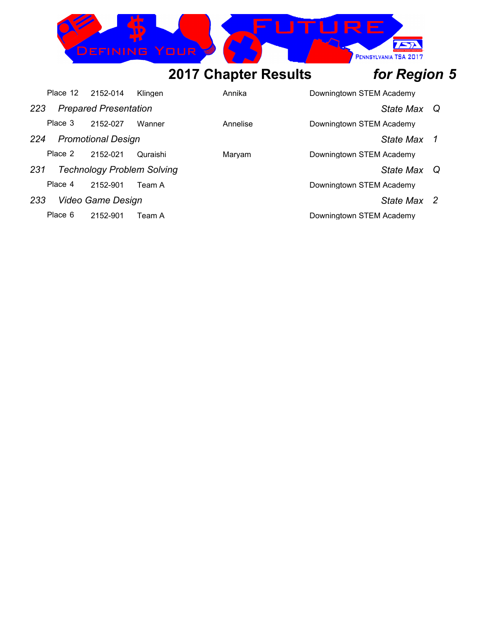

| Place 12 | 2152-014                     | Klingen                           | Annika   | Downingtown STEM Academy |             |  |
|----------|------------------------------|-----------------------------------|----------|--------------------------|-------------|--|
| 223      | <b>Prepared Presentation</b> |                                   |          |                          | State Max Q |  |
| Place 3  | 2152-027                     | Wanner                            | Annelise | Downingtown STEM Academy |             |  |
| 224      | <b>Promotional Design</b>    |                                   |          |                          | State Max 1 |  |
| Place 2  | 2152-021                     | Quraishi                          | Marvam   | Downingtown STEM Academy |             |  |
| 231      |                              | <b>Technology Problem Solving</b> |          |                          | State Max Q |  |
| Place 4  | 2152-901                     | Team A                            |          | Downingtown STEM Academy |             |  |
| 233      | Video Game Design            |                                   |          |                          | State Max 2 |  |
| Place 6  | 2152-901                     | Team A                            |          | Downingtown STEM Academy |             |  |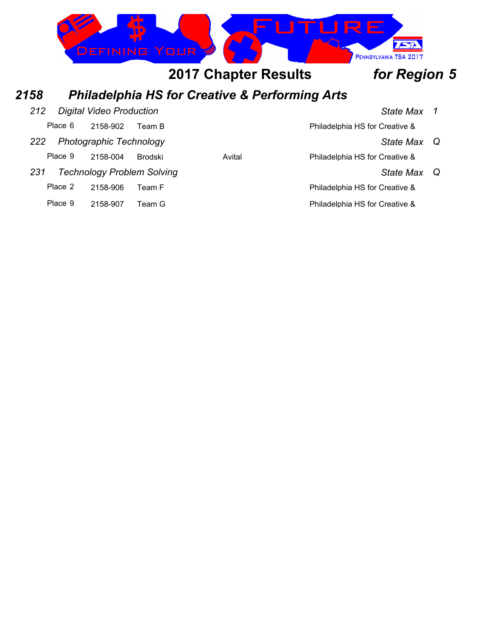

Place 9 2158-907 Team G Place 9 2158-907 Team G

Place 2 2158-906 Team F Place 2 2158-906 Team F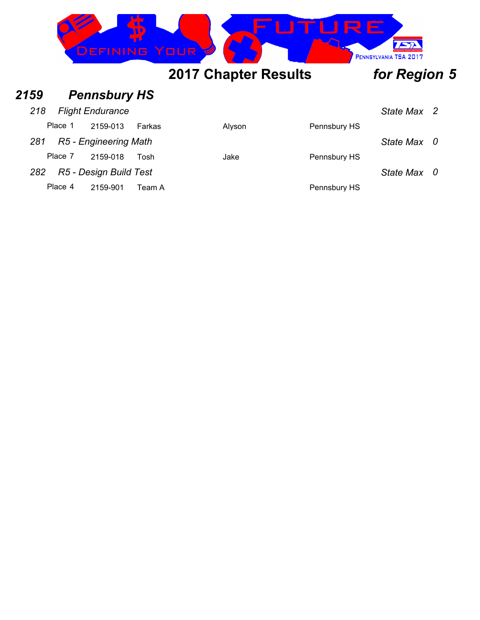|      |         | <b>DEFINING YOUR</b>    |        |                             | R F.         | PENNSYLVANIA TSA 2017 |  |
|------|---------|-------------------------|--------|-----------------------------|--------------|-----------------------|--|
|      |         |                         |        | <b>2017 Chapter Results</b> |              | for Region 5          |  |
| 2159 |         | <b>Pennsbury HS</b>     |        |                             |              |                       |  |
| 218  |         | <b>Flight Endurance</b> |        |                             |              | State Max 2           |  |
|      | Place 1 | 2159-013                | Farkas | Alyson                      | Pennsbury HS |                       |  |

*281 R5 - Engineering Math State Max 0*

*282 R5 - Design Build Test State Max 0*

Place 7 2159-018 Tosh Jake Jake Pennsbury HS

Place 4 2159-901 Team A Pennsbury HS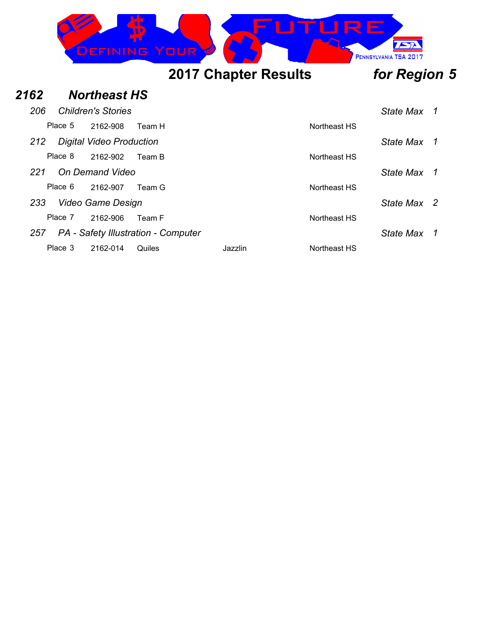|      |         | DEFINING                        |        | RE<br>YOUR                  | PENNSYLVANIA TSA 2017 |   |
|------|---------|---------------------------------|--------|-----------------------------|-----------------------|---|
|      |         |                                 |        | <b>2017 Chapter Results</b> | for Region 5          |   |
| 2162 |         | <b>Northeast HS</b>             |        |                             |                       |   |
| 206  |         | <b>Children's Stories</b>       |        |                             | State Max             | 1 |
|      | Place 5 | 2162-908                        | Team H | Northeast HS                |                       |   |
| 212  |         | <b>Digital Video Production</b> |        |                             | <b>State Max</b>      | 1 |
|      | Place 8 | 2162-902                        | Team B | Northeast HS                |                       |   |
| 221  |         | On Demand Video                 |        |                             | <b>State Max</b>      | 1 |
|      | Place 6 | 2162-907                        | Team G | Northeast HS                |                       |   |
| 233  |         | <b>Video Game Design</b>        |        |                             | State Max 2           |   |
|      | Place 7 | 2162-906                        | Team F | Northeast HS                |                       |   |

*257 PA - Safety Illustration - Computer State Max 1*

Place 3 2162-014 Quiles Jazzlin Jazzlin Northeast HS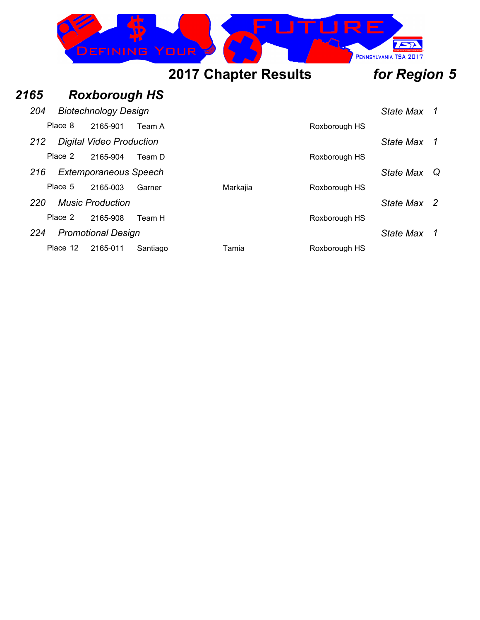

### *2165 Roxborough HS 204 Biotechnology Design State Max 1* Place 8 2165-901 Team A Roxborough HS *212 Digital Video Production State Max 1* Place 2 2165-904 Team D Roxborough HS *216 Extemporaneous Speech State Max Q* Place 5 2165-003 Garner Markajia Roxborough HS *220 Music Production State Max 2* Place 2 2165-908 Team H Roxborough HS *224 Promotional Design State Max 1* Place 12 2165-011 Santiago Tamia Tamia Roxborough HS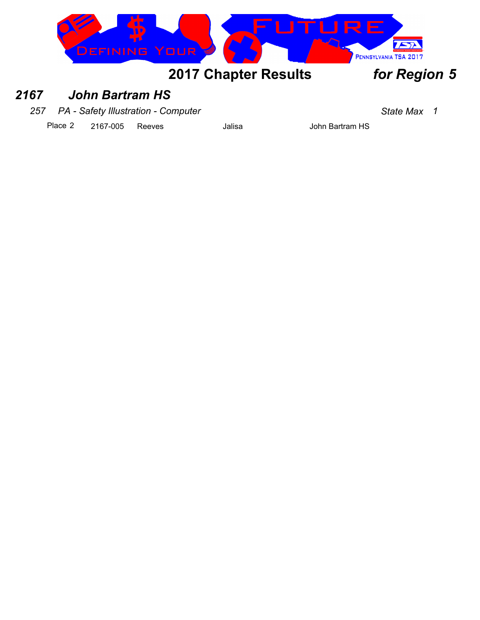



### *2167 John Bartram HS*

*257 PA - Safety Illustration - Computer State Max 1*

Place 2 2167-005 Reeves Jalisa Jalisa John Bartram HS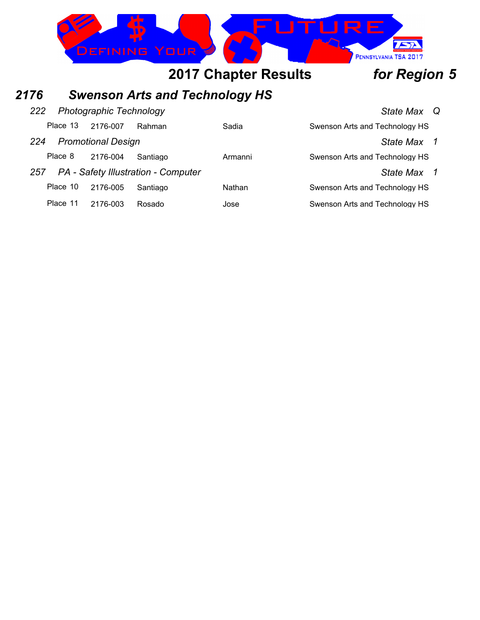

## *2176 Swenson Arts and Technology HS*

| 222 |          | <b>Photographic Technology</b> |                                     | State Max Q |                                |  |
|-----|----------|--------------------------------|-------------------------------------|-------------|--------------------------------|--|
|     | Place 13 | 2176-007                       | Rahman                              | Sadia       | Swenson Arts and Technology HS |  |
| 224 |          | <b>Promotional Design</b>      |                                     |             | State Max 1                    |  |
|     | Place 8  | 2176-004                       | Santiago                            | Armanni     | Swenson Arts and Technology HS |  |
| 257 |          |                                | PA - Safety Illustration - Computer |             | State Max 1                    |  |
|     | Place 10 | 2176-005                       | Santiago                            | Nathan      | Swenson Arts and Technology HS |  |
|     | Place 11 | 2176-003                       | Rosado                              | Jose        | Swenson Arts and Technology HS |  |
|     |          |                                |                                     |             |                                |  |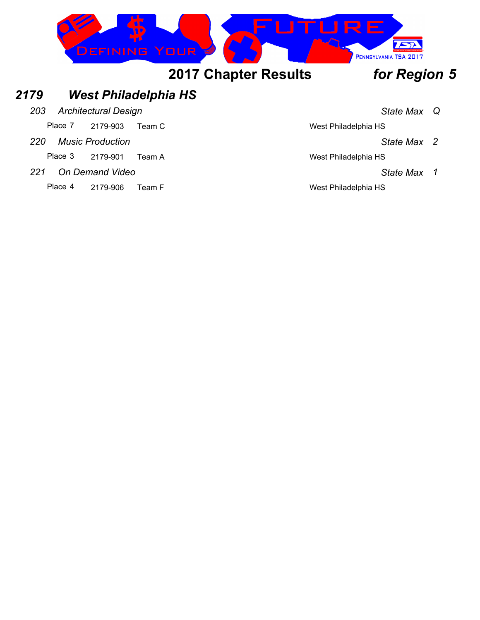

### *2179 West Philadelphia HS*

- *203 Architectural Design State Max Q*
	- Place 7 2179-903 Team C West Philadelphia HS
- *220 Music Production State Max 2*
	- Place 3 2179-901 Team A West Philadelphia HS
- *221 On Demand Video State Max 1*
	- Place 4 2179-906 Team F West Philadelphia HS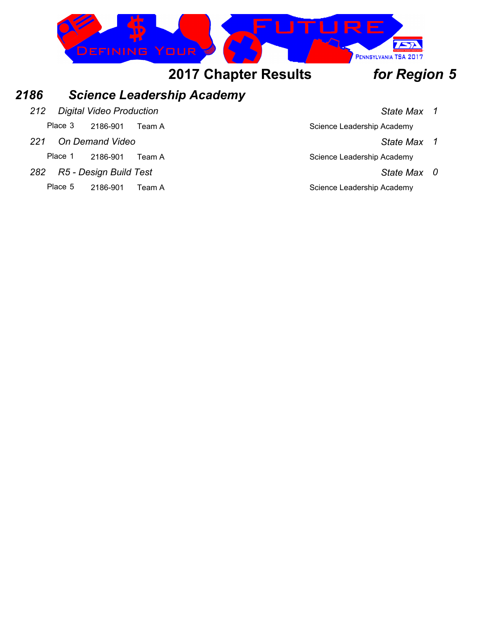

### *2186 Science Leadership Academy*

*212 Digital Video Production State Max 1*

Place 3 2186-901 Team A Science Leadership Academy

*221 On Demand Video State Max 1*

Place 1 2186-901 Team A Science Leadership Academy

- *282 R5 Design Build Test State Max 0*
	- Place 5 2186-901 Team A Science Leadership Academy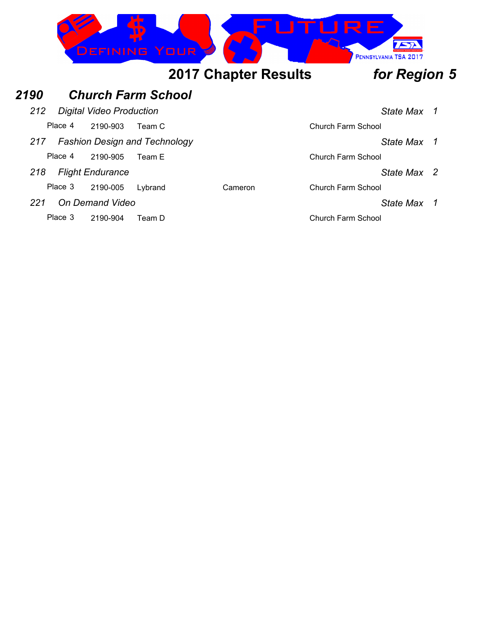

### *2190 Church Farm School*

*212 Digital Video Production State Max 1*

Place 4 2190-903 Team C Church Farm School

*217 Fashion Design and Technology State Max 1*

Place 4 2190-905 Team E Church Farm School

*218 Flight Endurance State Max 2*

Place 3 2190-005 Lybrand Cameron Cameron Church Farm School

*221 On Demand Video State Max 1*

Place 3 2190-904 Team D Church Farm School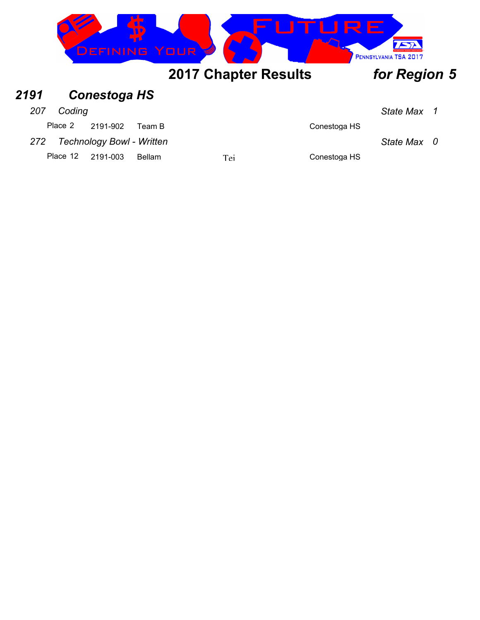|      |         | <b>JEFINING</b>     |        | YOUR                        |              | PENNSYLVANIA TSA 2017 |  |
|------|---------|---------------------|--------|-----------------------------|--------------|-----------------------|--|
|      |         |                     |        | <b>2017 Chapter Results</b> |              | for Region 5          |  |
| 2191 |         | <b>Conestoga HS</b> |        |                             |              |                       |  |
| 207  | Coding  |                     |        |                             |              | State Max 1           |  |
|      | Place 2 | 2191-902            | Team B |                             | Conestoga HS |                       |  |

*272 Technology Bowl - Written State Max 0*

Place 12 2191-003 Bellam Tei Tei Conestoga HS